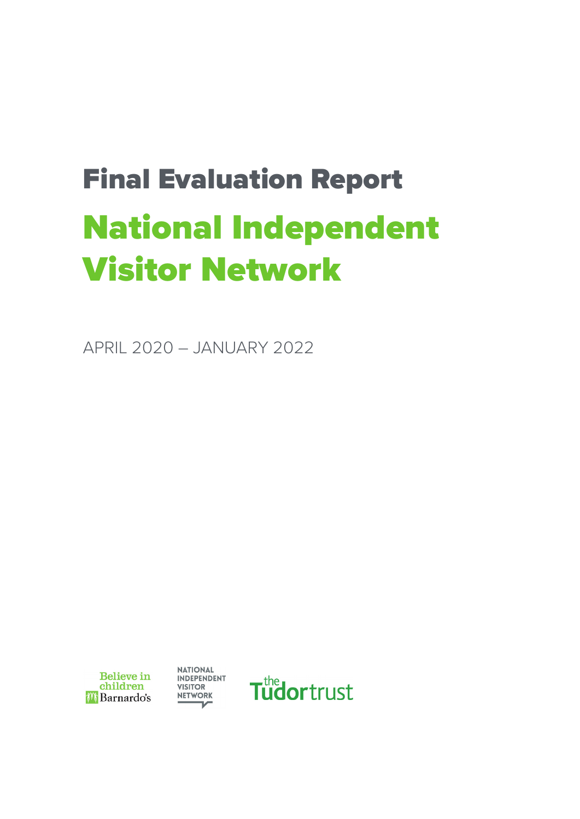# Final Evaluation Report National Independent Visitor Network

APRIL 2020 – JANUARY 2022



**NATIONAL** INDEPENDENT **VISITOR NETWORK**  $\mathcal{L}$ 

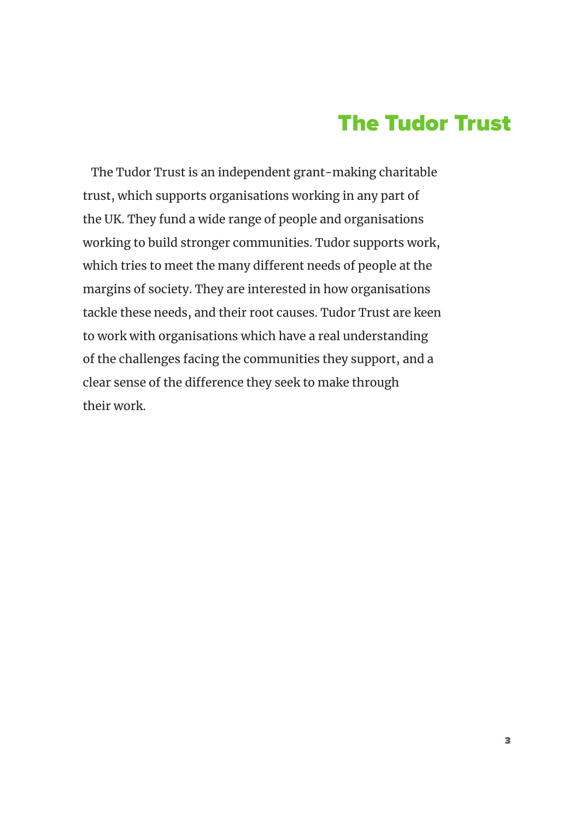# The Tudor Trust

The Tudor Trust is an independent grant-making charitable trust, which supports organisations working in any part of the UK. They fund a wide range of people and organisations working to build stronger communities. Tudor supports work, which tries to meet the many different needs of people at the margins of society. They are interested in how organisations tackle these needs, and their root causes. Tudor Trust are keen to work with organisations which have a real understanding of the challenges facing the communities they support, and a clear sense of the difference they seek to make through their work.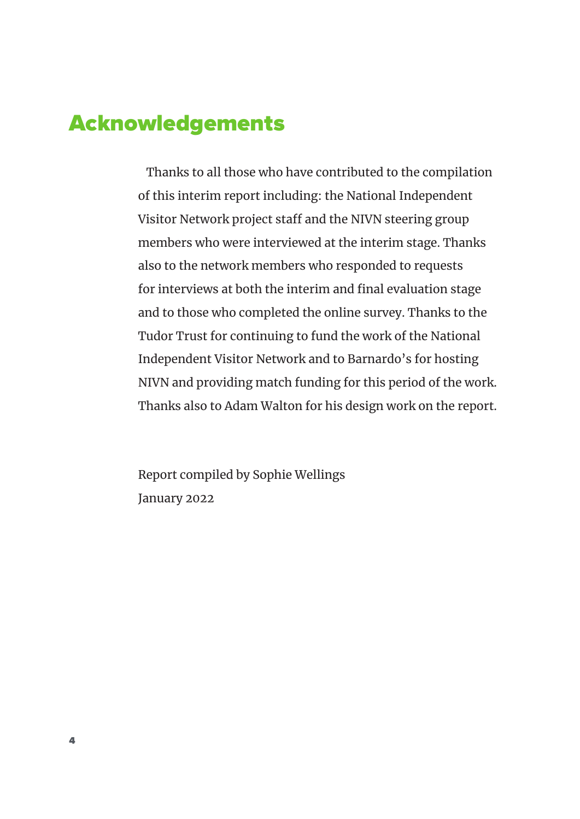### Acknowledgements

Thanks to all those who have contributed to the compilation of this interim report including: the National Independent Visitor Network project staff and the NIVN steering group members who were interviewed at the interim stage. Thanks also to the network members who responded to requests for interviews at both the interim and final evaluation stage and to those who completed the online survey. Thanks to the Tudor Trust for continuing to fund the work of the National Independent Visitor Network and to Barnardo's for hosting NIVN and providing match funding for this period of the work. Thanks also to Adam Walton for his design work on the report.

Report compiled by Sophie Wellings January 2022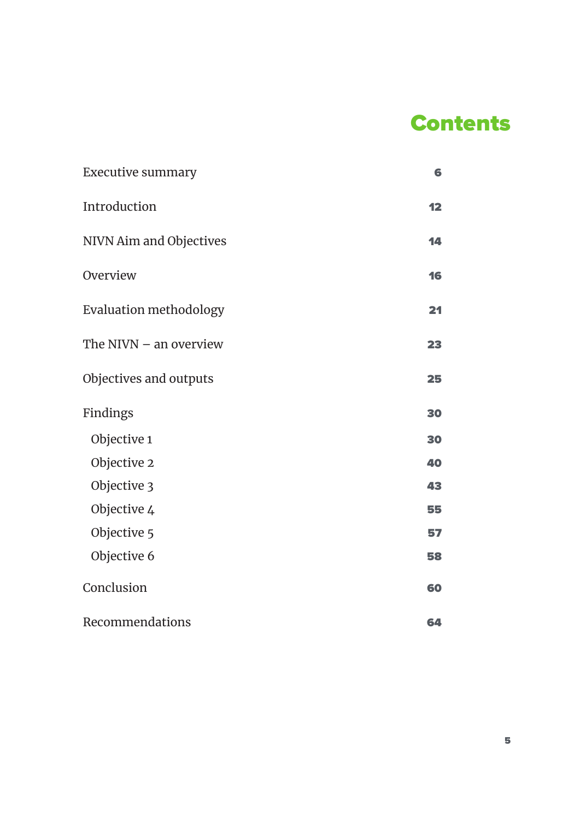# **Contents**

| <b>Executive summary</b>      | 6  |
|-------------------------------|----|
| Introduction                  | 12 |
| NIVN Aim and Objectives       | 14 |
| Overview                      | 16 |
| <b>Evaluation methodology</b> | 21 |
| The NIVN $-$ an overview      | 23 |
| Objectives and outputs        | 25 |
| Findings                      | 30 |
| Objective 1                   | 30 |
| Objective 2                   | 40 |
| Objective 3                   | 43 |
| Objective 4                   | 55 |
| Objective 5                   | 57 |
| Objective 6                   | 58 |
| Conclusion                    | 60 |
| Recommendations               | 64 |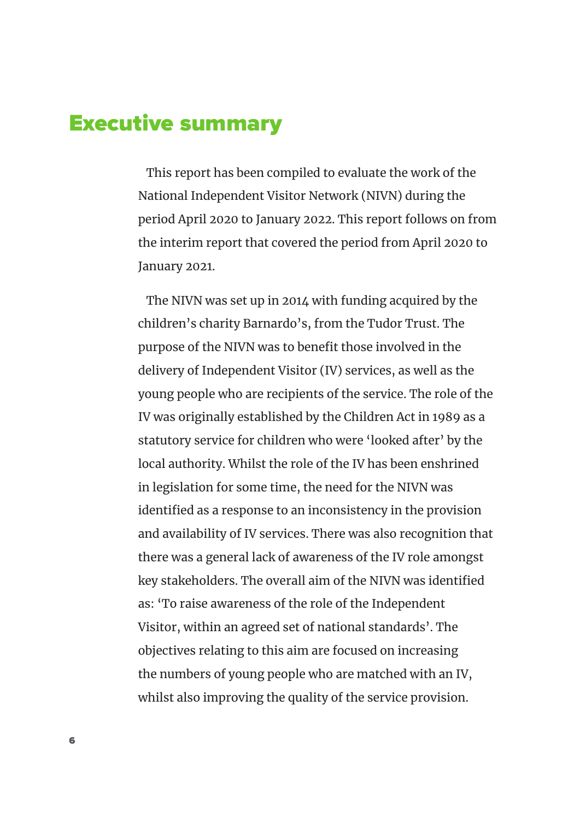### Executive summary

This report has been compiled to evaluate the work of the National Independent Visitor Network (NIVN) during the period April 2020 to January 2022. This report follows on from the interim report that covered the period from April 2020 to January 2021.

The NIVN was set up in 2014 with funding acquired by the children's charity Barnardo's, from the Tudor Trust. The purpose of the NIVN was to benefit those involved in the delivery of Independent Visitor (IV) services, as well as the young people who are recipients of the service. The role of the IV was originally established by the Children Act in 1989 as a statutory service for children who were 'looked after' by the local authority. Whilst the role of the IV has been enshrined in legislation for some time, the need for the NIVN was identified as a response to an inconsistency in the provision and availability of IV services. There was also recognition that there was a general lack of awareness of the IV role amongst key stakeholders. The overall aim of the NIVN was identified as: 'To raise awareness of the role of the Independent Visitor, within an agreed set of national standards'. The objectives relating to this aim are focused on increasing the numbers of young people who are matched with an IV, whilst also improving the quality of the service provision.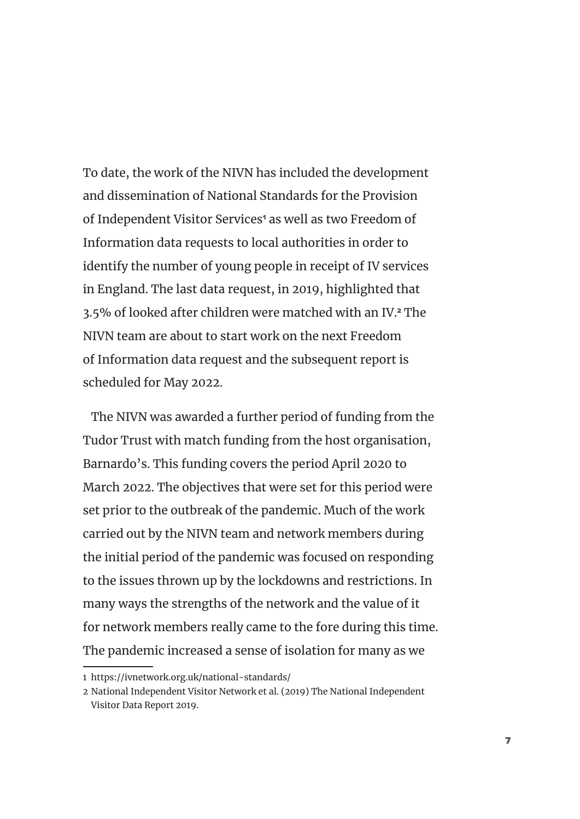To date, the work of the NIVN has included the development and dissemination of National Standards for the Provision of Independent Visitor Services<sup>1</sup> as well as two Freedom of Information data requests to local authorities in order to identify the number of young people in receipt of IV services in England. The last data request, in 2019, highlighted that 3.5% of looked after children were matched with an IV.2 The NIVN team are about to start work on the next Freedom of Information data request and the subsequent report is scheduled for May 2022.

The NIVN was awarded a further period of funding from the Tudor Trust with match funding from the host organisation, Barnardo's. This funding covers the period April 2020 to March 2022. The objectives that were set for this period were set prior to the outbreak of the pandemic. Much of the work carried out by the NIVN team and network members during the initial period of the pandemic was focused on responding to the issues thrown up by the lockdowns and restrictions. In many ways the strengths of the network and the value of it for network members really came to the fore during this time. The pandemic increased a sense of isolation for many as we

<sup>1</sup> https://ivnetwork.org.uk/national-standards/

<sup>2</sup> National Independent Visitor Network et al. (2019) The National Independent Visitor Data Report 2019.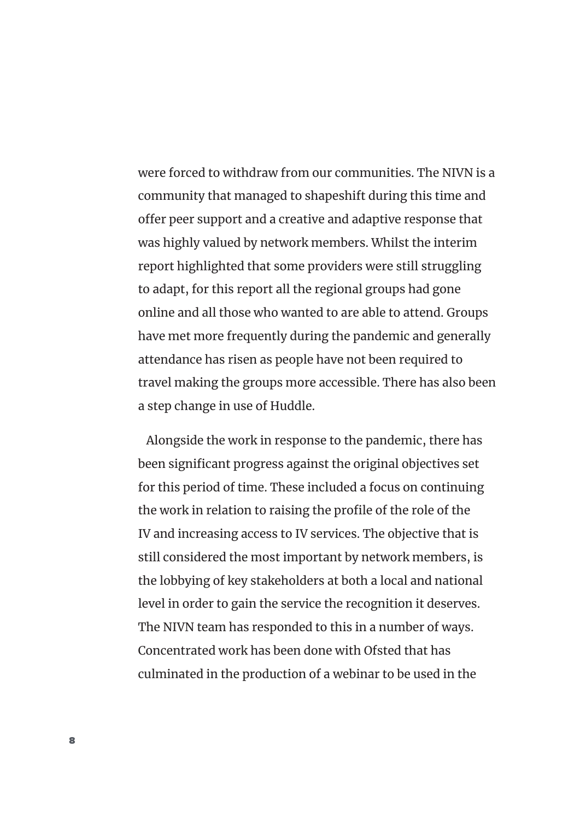were forced to withdraw from our communities. The NIVN is a community that managed to shapeshift during this time and offer peer support and a creative and adaptive response that was highly valued by network members. Whilst the interim report highlighted that some providers were still struggling to adapt, for this report all the regional groups had gone online and all those who wanted to are able to attend. Groups have met more frequently during the pandemic and generally attendance has risen as people have not been required to travel making the groups more accessible. There has also been a step change in use of Huddle.

Alongside the work in response to the pandemic, there has been significant progress against the original objectives set for this period of time. These included a focus on continuing the work in relation to raising the profile of the role of the IV and increasing access to IV services. The objective that is still considered the most important by network members, is the lobbying of key stakeholders at both a local and national level in order to gain the service the recognition it deserves. The NIVN team has responded to this in a number of ways. Concentrated work has been done with Ofsted that has culminated in the production of a webinar to be used in the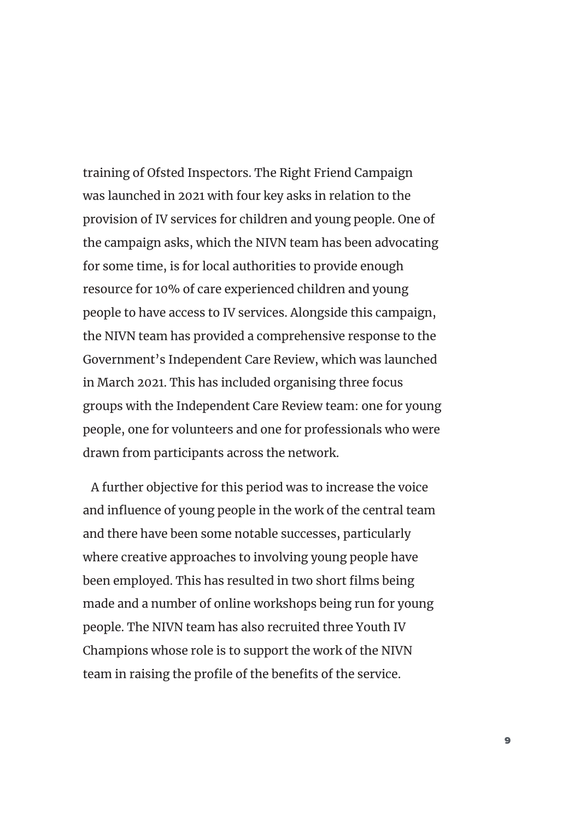training of Ofsted Inspectors. The Right Friend Campaign was launched in 2021 with four key asks in relation to the provision of IV services for children and young people. One of the campaign asks, which the NIVN team has been advocating for some time, is for local authorities to provide enough resource for 10% of care experienced children and young people to have access to IV services. Alongside this campaign, the NIVN team has provided a comprehensive response to the Government's Independent Care Review, which was launched in March 2021. This has included organising three focus groups with the Independent Care Review team: one for young people, one for volunteers and one for professionals who were drawn from participants across the network.

A further objective for this period was to increase the voice and influence of young people in the work of the central team and there have been some notable successes, particularly where creative approaches to involving young people have been employed. This has resulted in two short films being made and a number of online workshops being run for young people. The NIVN team has also recruited three Youth IV Champions whose role is to support the work of the NIVN team in raising the profile of the benefits of the service.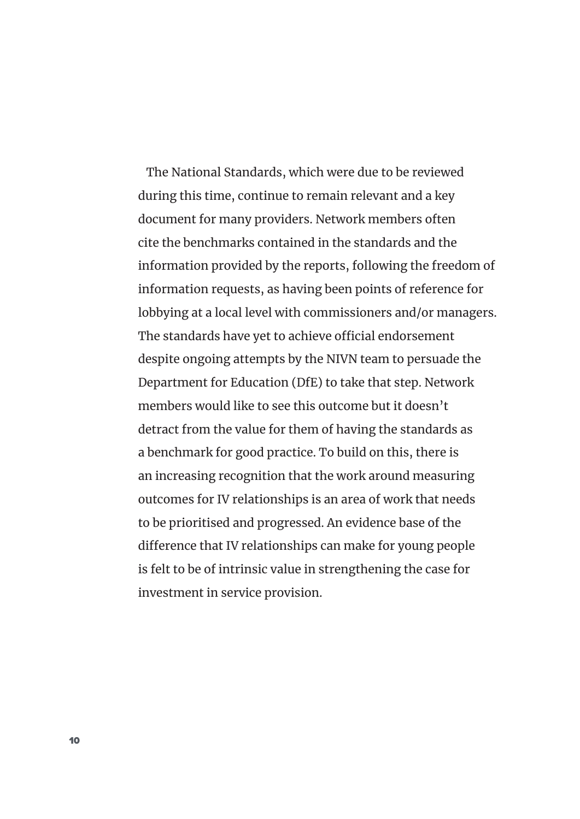The National Standards, which were due to be reviewed during this time, continue to remain relevant and a key document for many providers. Network members often cite the benchmarks contained in the standards and the information provided by the reports, following the freedom of information requests, as having been points of reference for lobbying at a local level with commissioners and/or managers. The standards have yet to achieve official endorsement despite ongoing attempts by the NIVN team to persuade the Department for Education (DfE) to take that step. Network members would like to see this outcome but it doesn't detract from the value for them of having the standards as a benchmark for good practice. To build on this, there is an increasing recognition that the work around measuring outcomes for IV relationships is an area of work that needs to be prioritised and progressed. An evidence base of the difference that IV relationships can make for young people is felt to be of intrinsic value in strengthening the case for investment in service provision.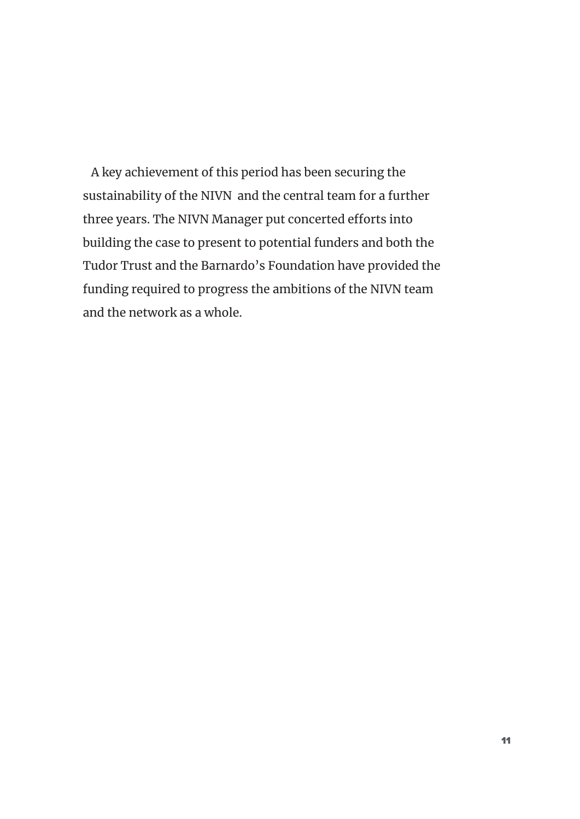A key achievement of this period has been securing the sustainability of the NIVN and the central team for a further three years. The NIVN Manager put concerted efforts into building the case to present to potential funders and both the Tudor Trust and the Barnardo's Foundation have provided the funding required to progress the ambitions of the NIVN team and the network as a whole.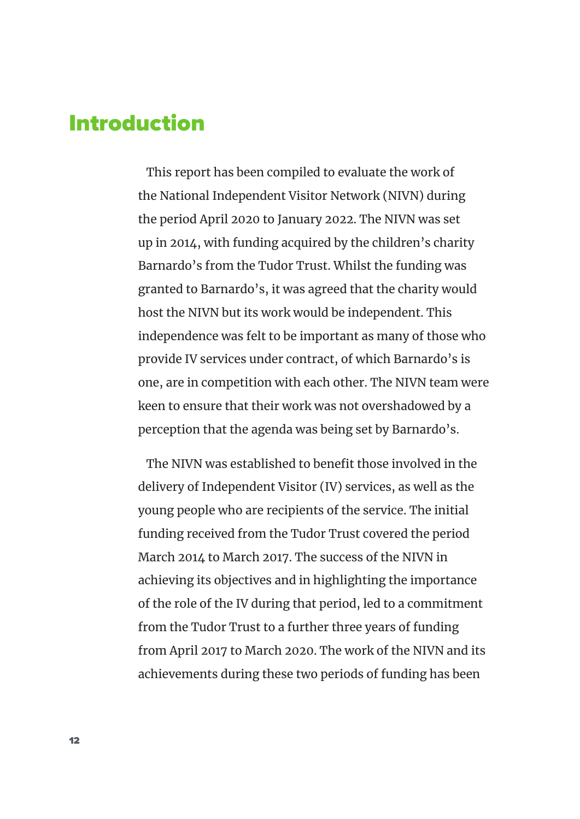### Introduction

This report has been compiled to evaluate the work of the National Independent Visitor Network (NIVN) during the period April 2020 to January 2022. The NIVN was set up in 2014, with funding acquired by the children's charity Barnardo's from the Tudor Trust. Whilst the funding was granted to Barnardo's, it was agreed that the charity would host the NIVN but its work would be independent. This independence was felt to be important as many of those who provide IV services under contract, of which Barnardo's is one, are in competition with each other. The NIVN team were keen to ensure that their work was not overshadowed by a perception that the agenda was being set by Barnardo's.

The NIVN was established to benefit those involved in the delivery of Independent Visitor (IV) services, as well as the young people who are recipients of the service. The initial funding received from the Tudor Trust covered the period March 2014 to March 2017. The success of the NIVN in achieving its objectives and in highlighting the importance of the role of the IV during that period, led to a commitment from the Tudor Trust to a further three years of funding from April 2017 to March 2020. The work of the NIVN and its achievements during these two periods of funding has been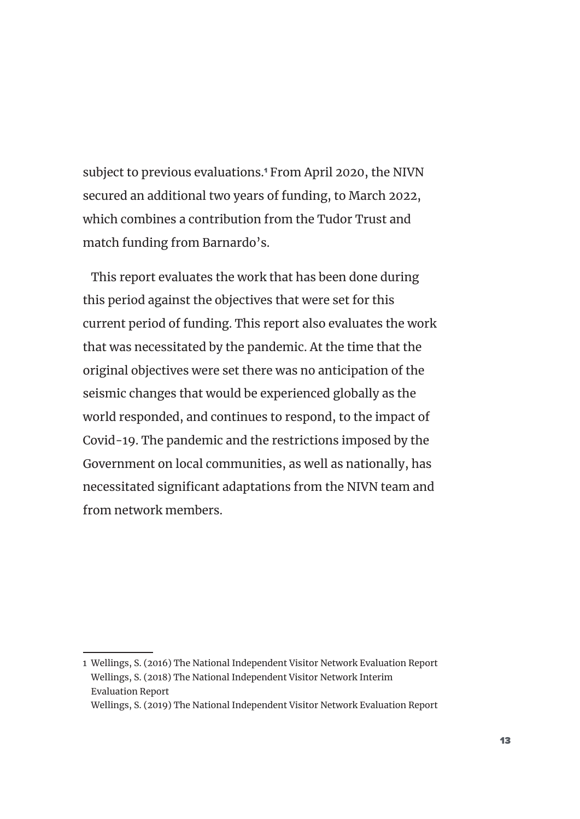subject to previous evaluations.<sup>1</sup> From April 2020, the NIVN secured an additional two years of funding, to March 2022, which combines a contribution from the Tudor Trust and match funding from Barnardo's.

This report evaluates the work that has been done during this period against the objectives that were set for this current period of funding. This report also evaluates the work that was necessitated by the pandemic. At the time that the original objectives were set there was no anticipation of the seismic changes that would be experienced globally as the world responded, and continues to respond, to the impact of Covid-19. The pandemic and the restrictions imposed by the Government on local communities, as well as nationally, has necessitated significant adaptations from the NIVN team and from network members.

Wellings, S. (2019) The National Independent Visitor Network Evaluation Report

<sup>1</sup> Wellings, S. (2016) The National Independent Visitor Network Evaluation Report Wellings, S. (2018) The National Independent Visitor Network Interim Evaluation Report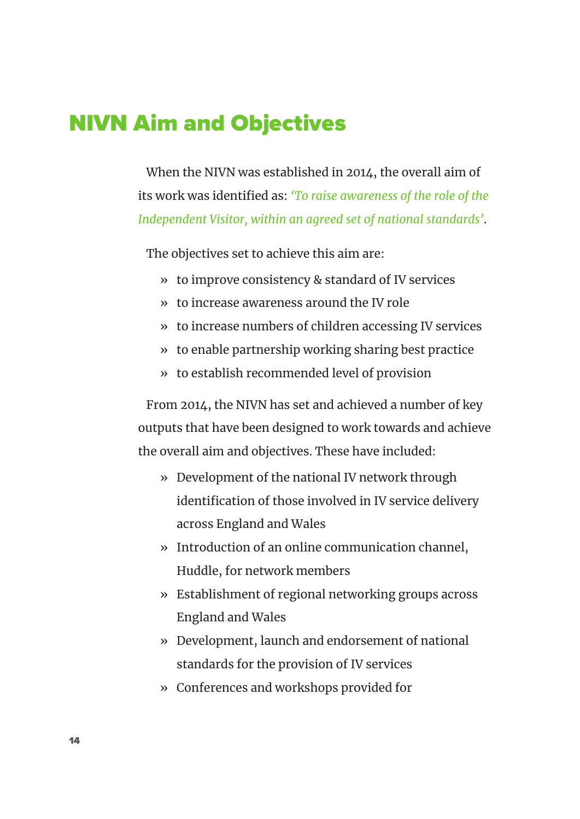### NIVN Aim and Objectives

When the NIVN was established in 2014, the overall aim of its work was identified as: *'To raise awareness of the role of the Independent Visitor, within an agreed set of national standards'*.

The objectives set to achieve this aim are:

- » to improve consistency & standard of IV services
- » to increase awareness around the IV role
- » to increase numbers of children accessing IV services
- » to enable partnership working sharing best practice
- » to establish recommended level of provision

From 2014, the NIVN has set and achieved a number of key outputs that have been designed to work towards and achieve the overall aim and objectives. These have included:

- » Development of the national IV network through identification of those involved in IV service delivery across England and Wales
- » Introduction of an online communication channel, Huddle, for network members
- » Establishment of regional networking groups across England and Wales
- » Development, launch and endorsement of national standards for the provision of IV services
- » Conferences and workshops provided for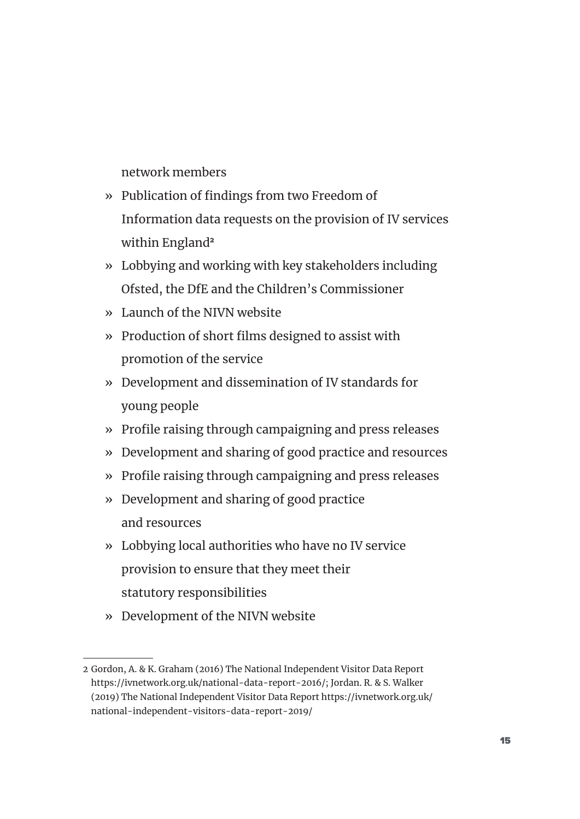network members

- » Publication of findings from two Freedom of Information data requests on the provision of IV services within England<sup>2</sup>
- » Lobbying and working with key stakeholders including Ofsted, the DfE and the Children's Commissioner
- » Launch of the NIVN website
- » Production of short films designed to assist with promotion of the service
- » Development and dissemination of IV standards for young people
- » Profile raising through campaigning and press releases
- » Development and sharing of good practice and resources
- » Profile raising through campaigning and press releases
- » Development and sharing of good practice and resources
- » Lobbying local authorities who have no IV service provision to ensure that they meet their statutory responsibilities
- » Development of the NIVN website

<sup>2</sup> Gordon, A. & K. Graham (2016) The National Independent Visitor Data Report https://ivnetwork.org.uk/national-data-report-2016/; Jordan. R. & S. Walker (2019) The National Independent Visitor Data Report https://ivnetwork.org.uk/ national-independent-visitors-data-report-2019/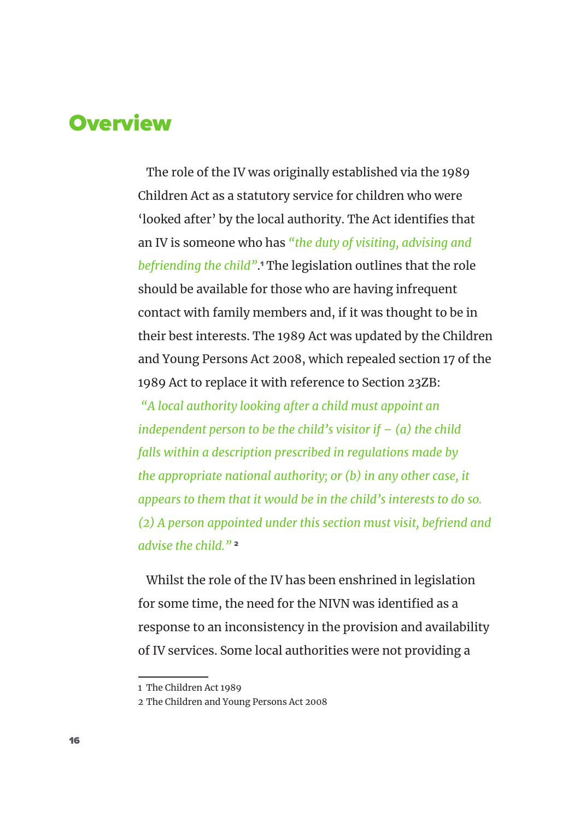# **Overview**

The role of the IV was originally established via the 1989 Children Act as a statutory service for children who were 'looked after' by the local authority. The Act identifies that an IV is someone who has *"the duty of visiting, advising and befriending the child"*. 1 The legislation outlines that the role should be available for those who are having infrequent contact with family members and, if it was thought to be in their best interests. The 1989 Act was updated by the Children and Young Persons Act 2008, which repealed section 17 of the 1989 Act to replace it with reference to Section 23ZB:

*"A local authority looking after a child must appoint an independent person to be the child's visitor if – (a) the child falls within a description prescribed in regulations made by the appropriate national authority; or (b) in any other case, it appears to them that it would be in the child's interests to do so. (2) A person appointed under this section must visit, befriend and advise the child."* <sup>2</sup>

Whilst the role of the IV has been enshrined in legislation for some time, the need for the NIVN was identified as a response to an inconsistency in the provision and availability of IV services. Some local authorities were not providing a

<sup>1</sup> The Children Act 1989

<sup>2</sup> The Children and Young Persons Act 2008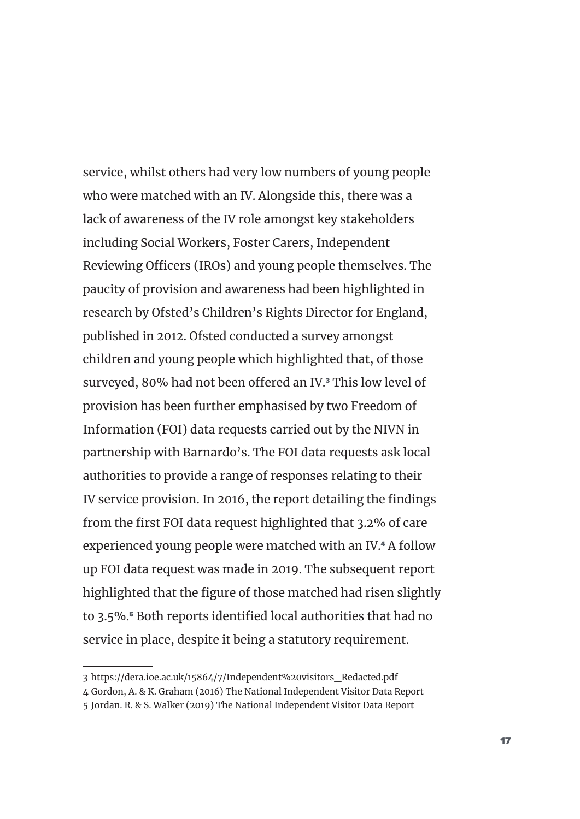service, whilst others had very low numbers of young people who were matched with an IV. Alongside this, there was a lack of awareness of the IV role amongst key stakeholders including Social Workers, Foster Carers, Independent Reviewing Officers (IROs) and young people themselves. The paucity of provision and awareness had been highlighted in research by Ofsted's Children's Rights Director for England, published in 2012. Ofsted conducted a survey amongst children and young people which highlighted that, of those surveyed, 80% had not been offered an IV.<sup>3</sup> This low level of provision has been further emphasised by two Freedom of Information (FOI) data requests carried out by the NIVN in partnership with Barnardo's. The FOI data requests ask local authorities to provide a range of responses relating to their IV service provision. In 2016, the report detailing the findings from the first FOI data request highlighted that 3.2% of care experienced young people were matched with an IV.4 A follow up FOI data request was made in 2019. The subsequent report highlighted that the figure of those matched had risen slightly to 3.5%.<sup>5</sup> Both reports identified local authorities that had no service in place, despite it being a statutory requirement.

<sup>3</sup> https://dera.ioe.ac.uk/15864/7/Independent%20visitors\_Redacted.pdf

<sup>4</sup> Gordon, A. & K. Graham (2016) The National Independent Visitor Data Report

<sup>5</sup> Jordan. R. & S. Walker (2019) The National Independent Visitor Data Report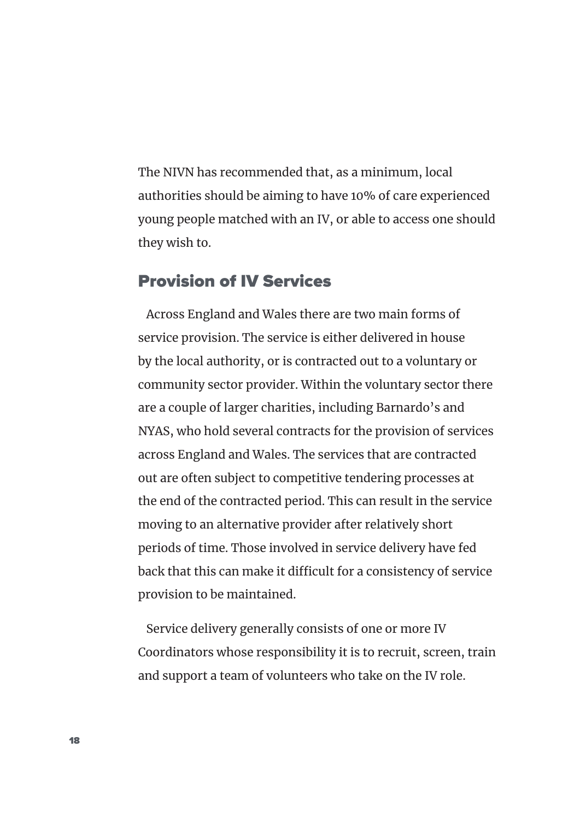The NIVN has recommended that, as a minimum, local authorities should be aiming to have 10% of care experienced young people matched with an IV, or able to access one should they wish to.

#### Provision of IV Services

Across England and Wales there are two main forms of service provision. The service is either delivered in house by the local authority, or is contracted out to a voluntary or community sector provider. Within the voluntary sector there are a couple of larger charities, including Barnardo's and NYAS, who hold several contracts for the provision of services across England and Wales. The services that are contracted out are often subject to competitive tendering processes at the end of the contracted period. This can result in the service moving to an alternative provider after relatively short periods of time. Those involved in service delivery have fed back that this can make it difficult for a consistency of service provision to be maintained.

Service delivery generally consists of one or more IV Coordinators whose responsibility it is to recruit, screen, train and support a team of volunteers who take on the IV role.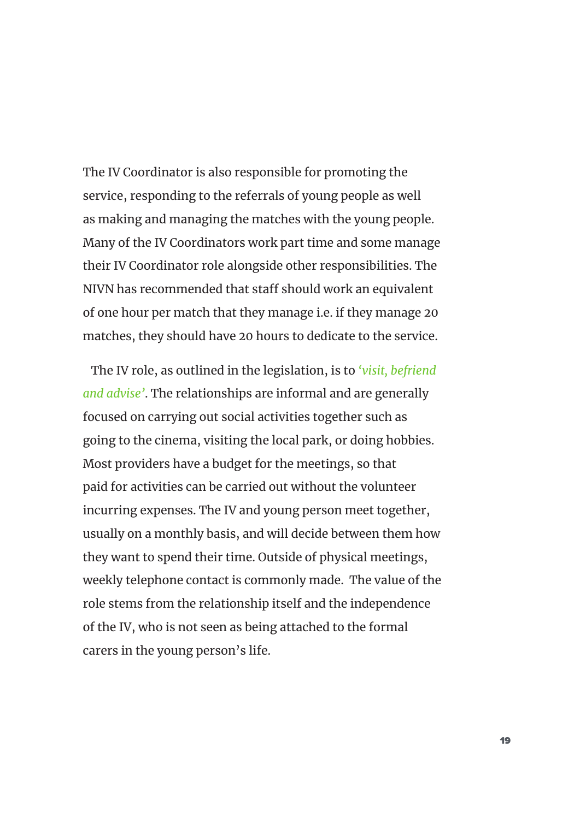The IV Coordinator is also responsible for promoting the service, responding to the referrals of young people as well as making and managing the matches with the young people. Many of the IV Coordinators work part time and some manage their IV Coordinator role alongside other responsibilities. The NIVN has recommended that staff should work an equivalent of one hour per match that they manage i.e. if they manage 20 matches, they should have 20 hours to dedicate to the service.

The IV role, as outlined in the legislation, is to *'visit, befriend and advise'*. The relationships are informal and are generally focused on carrying out social activities together such as going to the cinema, visiting the local park, or doing hobbies. Most providers have a budget for the meetings, so that paid for activities can be carried out without the volunteer incurring expenses. The IV and young person meet together, usually on a monthly basis, and will decide between them how they want to spend their time. Outside of physical meetings, weekly telephone contact is commonly made. The value of the role stems from the relationship itself and the independence of the IV, who is not seen as being attached to the formal carers in the young person's life.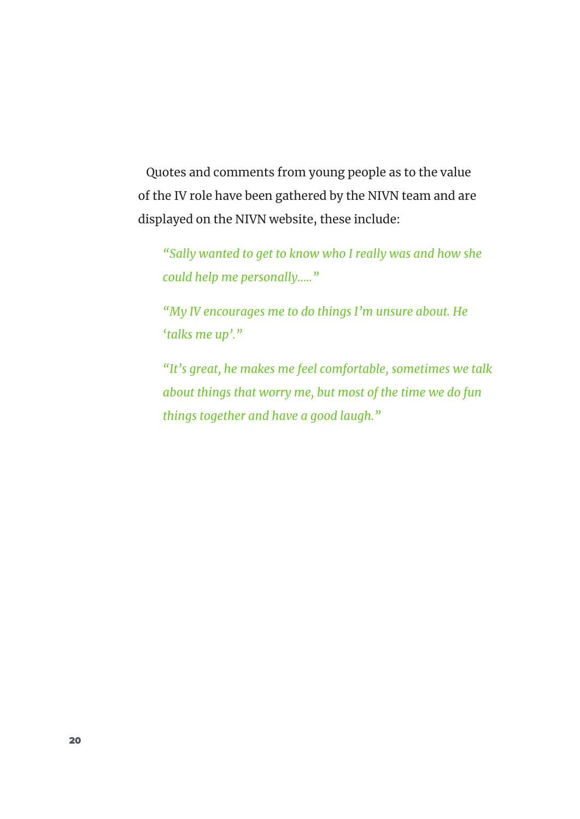Quotes and comments from young people as to the value of the IV role have been gathered by the NIVN team and are displayed on the NIVN website, these include:

*"Sally wanted to get to know who I really was and how she could help me personally….."* 

*"My IV encourages me to do things I'm unsure about. He 'talks me up'."* 

*"It's great, he makes me feel comfortable, sometimes we talk about things that worry me, but most of the time we do fun things together and have a good laugh."*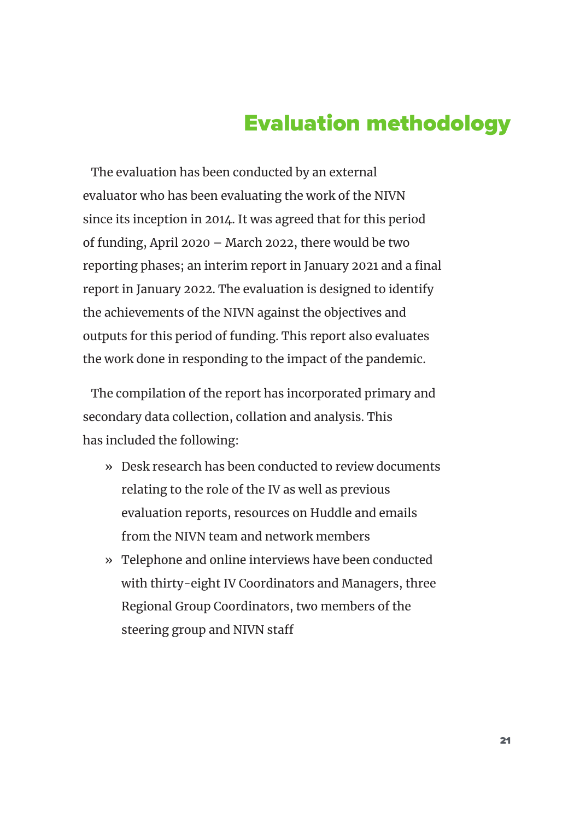# Evaluation methodology

The evaluation has been conducted by an external evaluator who has been evaluating the work of the NIVN since its inception in 2014. It was agreed that for this period of funding, April 2020 – March 2022, there would be two reporting phases; an interim report in January 2021 and a final report in January 2022. The evaluation is designed to identify the achievements of the NIVN against the objectives and outputs for this period of funding. This report also evaluates the work done in responding to the impact of the pandemic.

The compilation of the report has incorporated primary and secondary data collection, collation and analysis. This has included the following:

- » Desk research has been conducted to review documents relating to the role of the IV as well as previous evaluation reports, resources on Huddle and emails from the NIVN team and network members
- » Telephone and online interviews have been conducted with thirty-eight IV Coordinators and Managers, three Regional Group Coordinators, two members of the steering group and NIVN staff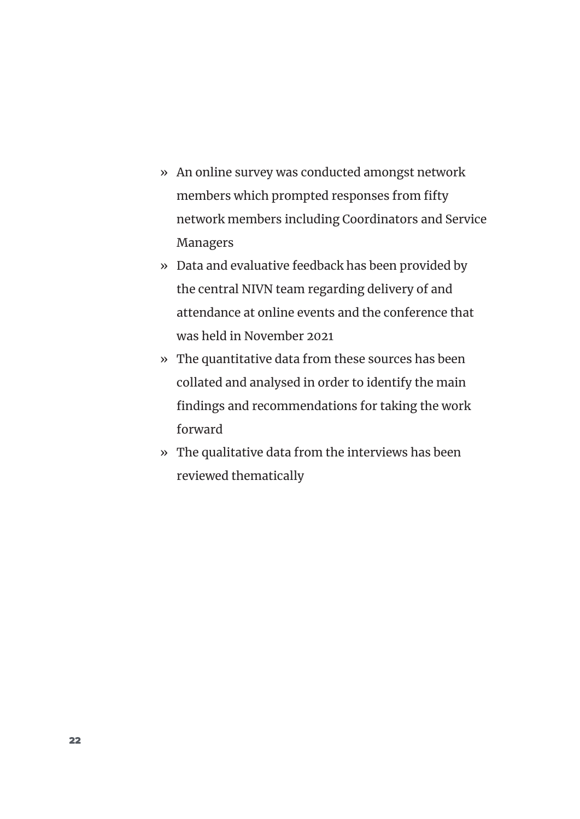- » An online survey was conducted amongst network members which prompted responses from fifty network members including Coordinators and Service Managers
- » Data and evaluative feedback has been provided by the central NIVN team regarding delivery of and attendance at online events and the conference that was held in November 2021
- » The quantitative data from these sources has been collated and analysed in order to identify the main findings and recommendations for taking the work forward
- » The qualitative data from the interviews has been reviewed thematically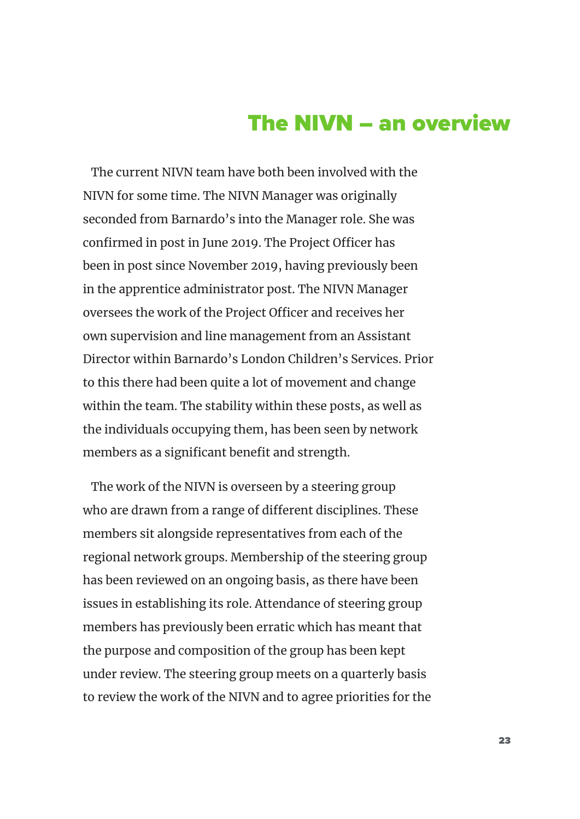# The NIVN – an overview

The current NIVN team have both been involved with the NIVN for some time. The NIVN Manager was originally seconded from Barnardo's into the Manager role. She was confirmed in post in June 2019. The Project Officer has been in post since November 2019, having previously been in the apprentice administrator post. The NIVN Manager oversees the work of the Project Officer and receives her own supervision and line management from an Assistant Director within Barnardo's London Children's Services. Prior to this there had been quite a lot of movement and change within the team. The stability within these posts, as well as the individuals occupying them, has been seen by network members as a significant benefit and strength.

The work of the NIVN is overseen by a steering group who are drawn from a range of different disciplines. These members sit alongside representatives from each of the regional network groups. Membership of the steering group has been reviewed on an ongoing basis, as there have been issues in establishing its role. Attendance of steering group members has previously been erratic which has meant that the purpose and composition of the group has been kept under review. The steering group meets on a quarterly basis to review the work of the NIVN and to agree priorities for the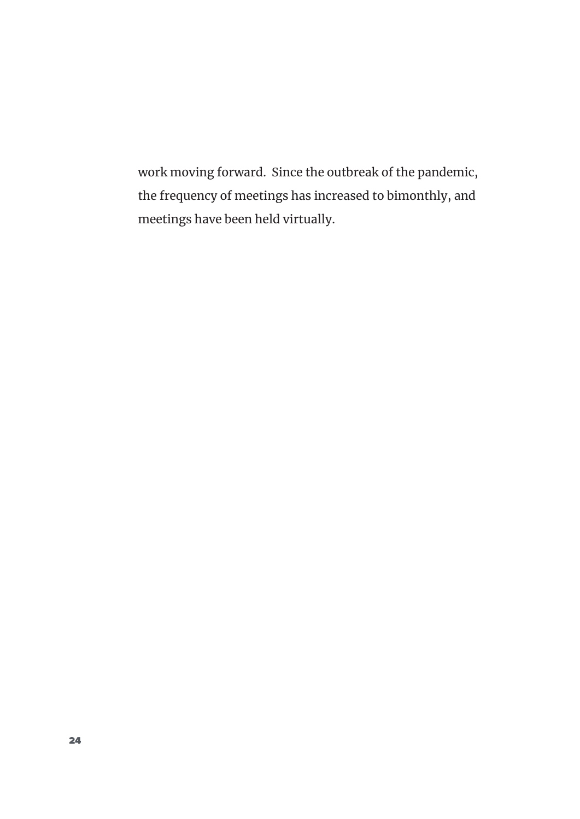work moving forward. Since the outbreak of the pandemic, the frequency of meetings has increased to bimonthly, and meetings have been held virtually.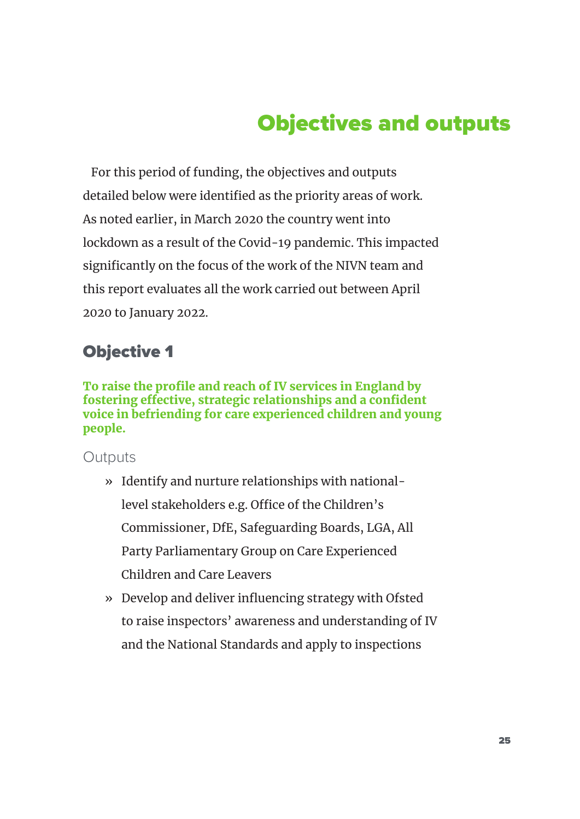# Objectives and outputs

For this period of funding, the objectives and outputs detailed below were identified as the priority areas of work. As noted earlier, in March 2020 the country went into lockdown as a result of the Covid-19 pandemic. This impacted significantly on the focus of the work of the NIVN team and this report evaluates all the work carried out between April 2020 to January 2022.

### Objective 1

To raise the profile and reach of IV services in England by fostering effective, strategic relationships and a confident voice in befriending for care experienced children and young people.

- » Identify and nurture relationships with nationallevel stakeholders e.g. Office of the Children's Commissioner, DfE, Safeguarding Boards, LGA, All Party Parliamentary Group on Care Experienced Children and Care Leavers
- » Develop and deliver influencing strategy with Ofsted to raise inspectors' awareness and understanding of IV and the National Standards and apply to inspections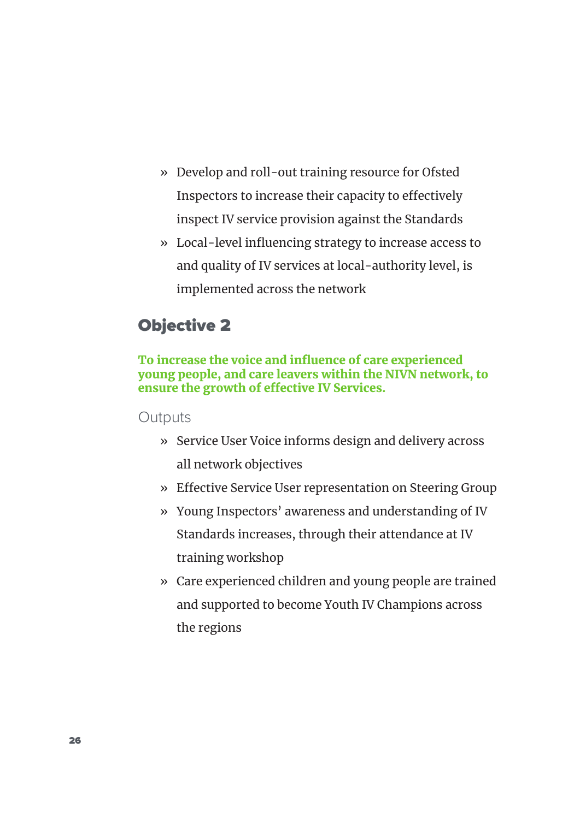- » Develop and roll-out training resource for Ofsted Inspectors to increase their capacity to effectively inspect IV service provision against the Standards
- » Local-level influencing strategy to increase access to and quality of IV services at local-authority level, is implemented across the network

### Objective 2

#### To increase the voice and influence of care experienced young people, and care leavers within the NIVN network, to ensure the growth of effective IV Services.

- » Service User Voice informs design and delivery across all network objectives
- » Effective Service User representation on Steering Group
- » Young Inspectors' awareness and understanding of IV Standards increases, through their attendance at IV training workshop
- » Care experienced children and young people are trained and supported to become Youth IV Champions across the regions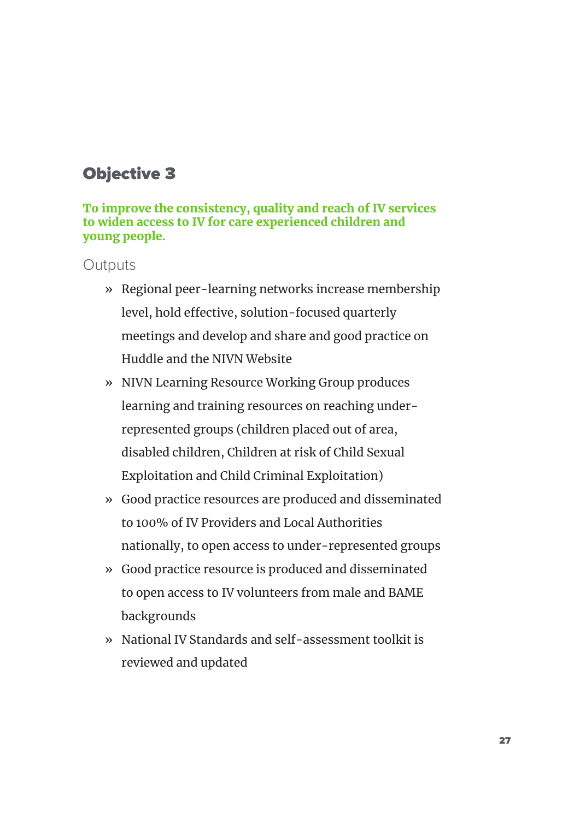### Objective 3

#### To improve the consistency, quality and reach of IV services to widen access to IV for care experienced children and young people.

- » Regional peer-learning networks increase membership level, hold effective, solution-focused quarterly meetings and develop and share and good practice on Huddle and the NIVN Website
- » NIVN Learning Resource Working Group produces learning and training resources on reaching underrepresented groups (children placed out of area, disabled children, Children at risk of Child Sexual Exploitation and Child Criminal Exploitation)
- » Good practice resources are produced and disseminated to 100% of IV Providers and Local Authorities nationally, to open access to under-represented groups
- » Good practice resource is produced and disseminated to open access to IV volunteers from male and BAME backgrounds
- » National IV Standards and self-assessment toolkit is reviewed and updated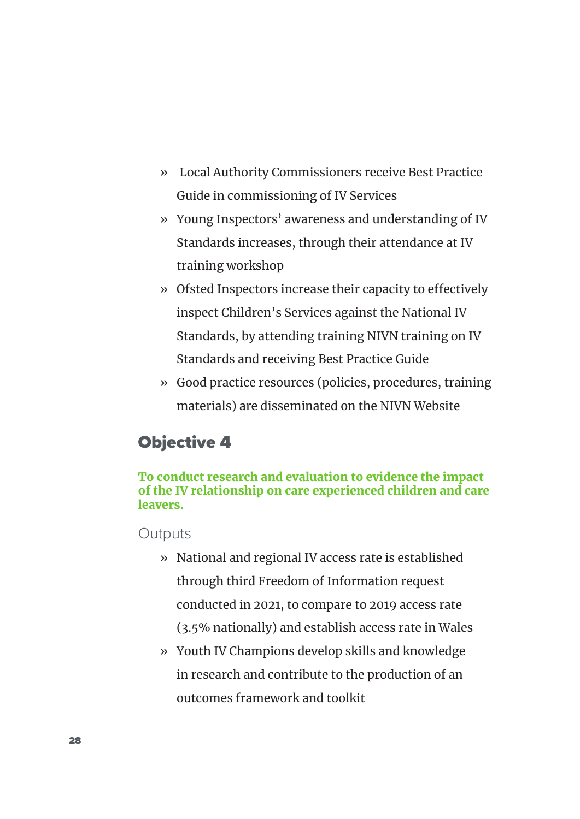- » Local Authority Commissioners receive Best Practice Guide in commissioning of IV Services
- » Young Inspectors' awareness and understanding of IV Standards increases, through their attendance at IV training workshop
- » Ofsted Inspectors increase their capacity to effectively inspect Children's Services against the National IV Standards, by attending training NIVN training on IV Standards and receiving Best Practice Guide
- » Good practice resources (policies, procedures, training materials) are disseminated on the NIVN Website

### Objective 4

#### To conduct research and evaluation to evidence the impact of the IV relationship on care experienced children and care leavers.

- » National and regional IV access rate is established through third Freedom of Information request conducted in 2021, to compare to 2019 access rate (3.5% nationally) and establish access rate in Wales
- » Youth IV Champions develop skills and knowledge in research and contribute to the production of an outcomes framework and toolkit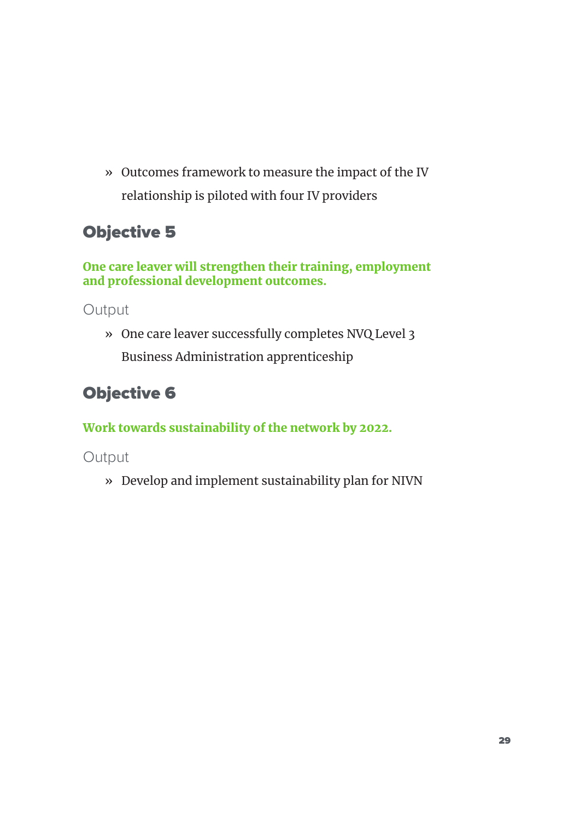» Outcomes framework to measure the impact of the IV relationship is piloted with four IV providers

### Objective 5

One care leaver will strengthen their training, employment and professional development outcomes.

Output

» One care leaver successfully completes NVQ Level 3 Business Administration apprenticeship

### Objective 6

Work towards sustainability of the network by 2022.

Output

» Develop and implement sustainability plan for NIVN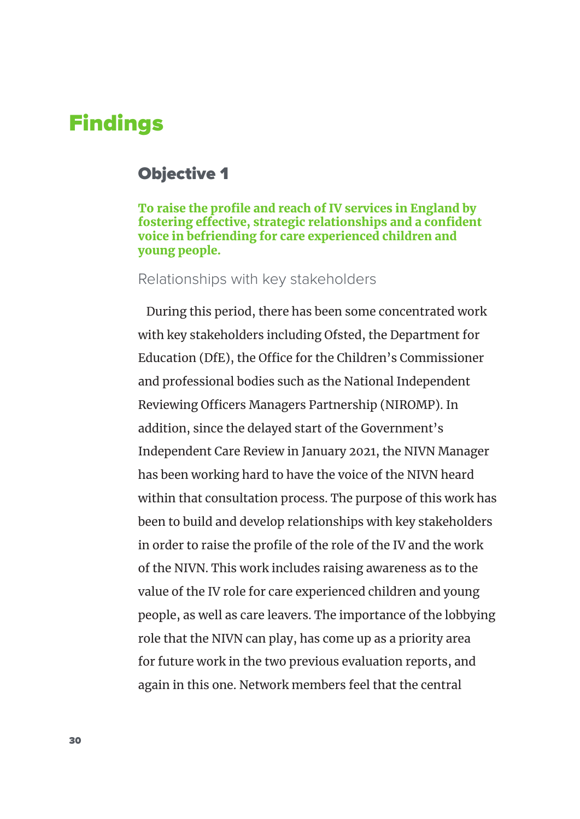### Findings

### Objective 1

To raise the profile and reach of IV services in England by fostering effective, strategic relationships and a confident voice in befriending for care experienced children and young people.

#### Relationships with key stakeholders

During this period, there has been some concentrated work with key stakeholders including Ofsted, the Department for Education (DfE), the Office for the Children's Commissioner and professional bodies such as the National Independent Reviewing Officers Managers Partnership (NIROMP). In addition, since the delayed start of the Government's Independent Care Review in January 2021, the NIVN Manager has been working hard to have the voice of the NIVN heard within that consultation process. The purpose of this work has been to build and develop relationships with key stakeholders in order to raise the profile of the role of the IV and the work of the NIVN. This work includes raising awareness as to the value of the IV role for care experienced children and young people, as well as care leavers. The importance of the lobbying role that the NIVN can play, has come up as a priority area for future work in the two previous evaluation reports, and again in this one. Network members feel that the central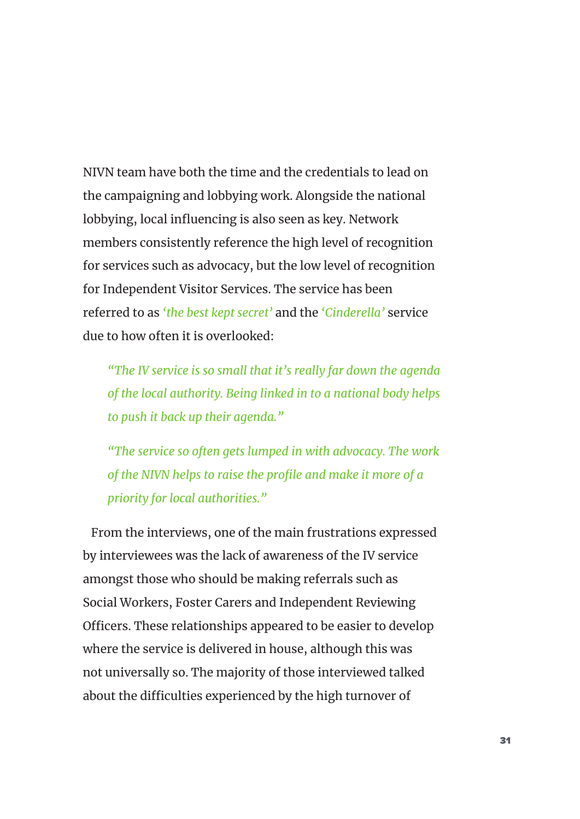NIVN team have both the time and the credentials to lead on the campaigning and lobbying work. Alongside the national lobbying, local influencing is also seen as key. Network members consistently reference the high level of recognition for services such as advocacy, but the low level of recognition for Independent Visitor Services. The service has been referred to as *'the best kept secret'* and the *'Cinderella'* service due to how often it is overlooked:

*"The IV service is so small that it's really far down the agenda of the local authority. Being linked in to a national body helps to push it back up their agenda."* 

*"The service so often gets lumped in with advocacy. The work of the NIVN helps to raise the profile and make it more of a priority for local authorities."* 

From the interviews, one of the main frustrations expressed by interviewees was the lack of awareness of the IV service amongst those who should be making referrals such as Social Workers, Foster Carers and Independent Reviewing Officers. These relationships appeared to be easier to develop where the service is delivered in house, although this was not universally so. The majority of those interviewed talked about the difficulties experienced by the high turnover of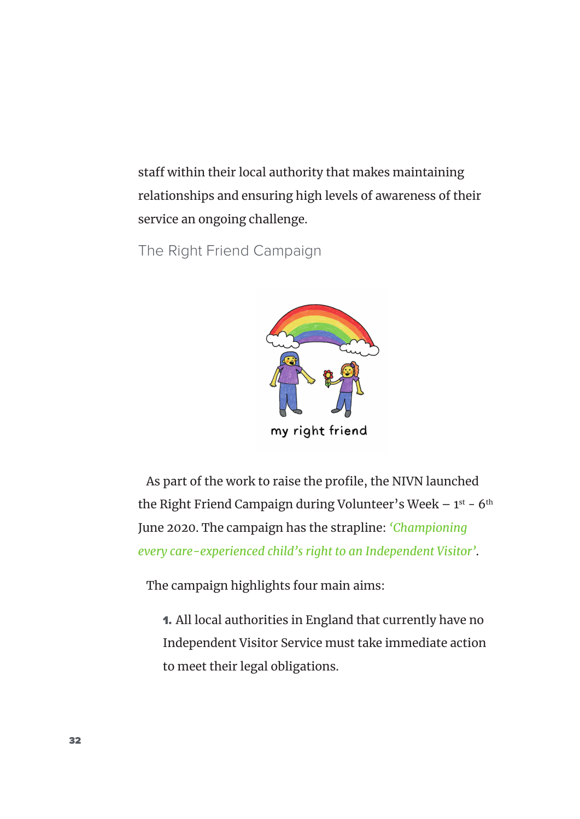staff within their local authority that makes maintaining relationships and ensuring high levels of awareness of their service an ongoing challenge.

The Right Friend Campaign



As part of the work to raise the profile, the NIVN launched the Right Friend Campaign during Volunteer's Week  $-1^{st}$  - 6<sup>th</sup> June 2020. The campaign has the strapline: *'Championing every care-experienced child's right to an Independent Visitor'*.

The campaign highlights four main aims:

1. All local authorities in England that currently have no Independent Visitor Service must take immediate action to meet their legal obligations.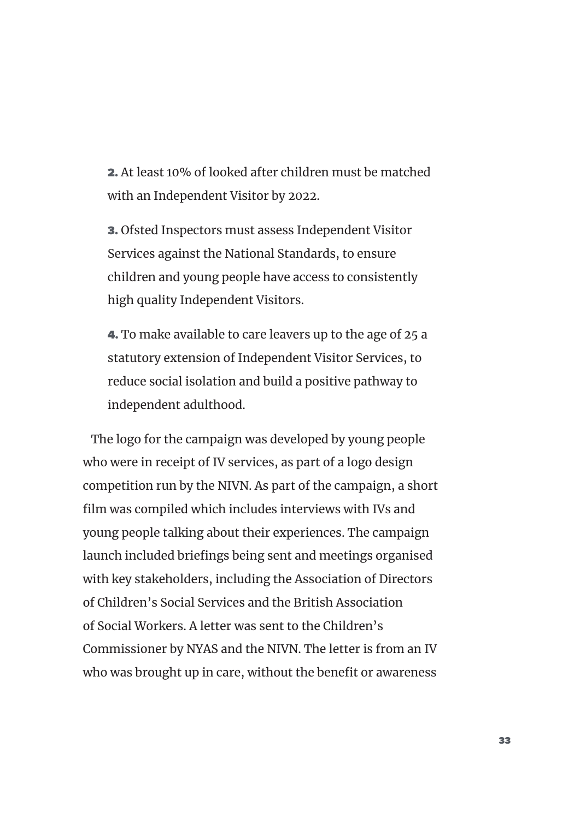2. At least 10% of looked after children must be matched with an Independent Visitor by 2022.

3. Ofsted Inspectors must assess Independent Visitor Services against the National Standards, to ensure children and young people have access to consistently high quality Independent Visitors.

4. To make available to care leavers up to the age of 25 a statutory extension of Independent Visitor Services, to reduce social isolation and build a positive pathway to independent adulthood.

The logo for the campaign was developed by young people who were in receipt of IV services, as part of a logo design competition run by the NIVN. As part of the campaign, a short film was compiled which includes interviews with IVs and young people talking about their experiences. The campaign launch included briefings being sent and meetings organised with key stakeholders, including the Association of Directors of Children's Social Services and the British Association of Social Workers. A letter was sent to the Children's Commissioner by NYAS and the NIVN. The letter is from an IV who was brought up in care, without the benefit or awareness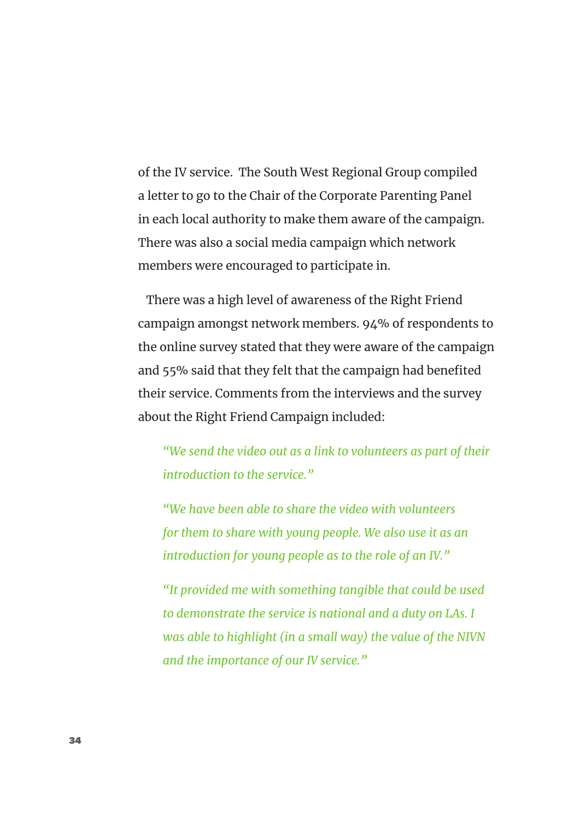of the IV service. The South West Regional Group compiled a letter to go to the Chair of the Corporate Parenting Panel in each local authority to make them aware of the campaign. There was also a social media campaign which network members were encouraged to participate in.

There was a high level of awareness of the Right Friend campaign amongst network members. 94% of respondents to the online survey stated that they were aware of the campaign and 55% said that they felt that the campaign had benefited their service. Comments from the interviews and the survey about the Right Friend Campaign included:

*"We send the video out as a link to volunteers as part of their introduction to the service."* 

*"We have been able to share the video with volunteers for them to share with young people. We also use it as an introduction for young people as to the role of an IV."* 

*"It provided me with something tangible that could be used to demonstrate the service is national and a duty on LAs. I was able to highlight (in a small way) the value of the NIVN and the importance of our IV service."*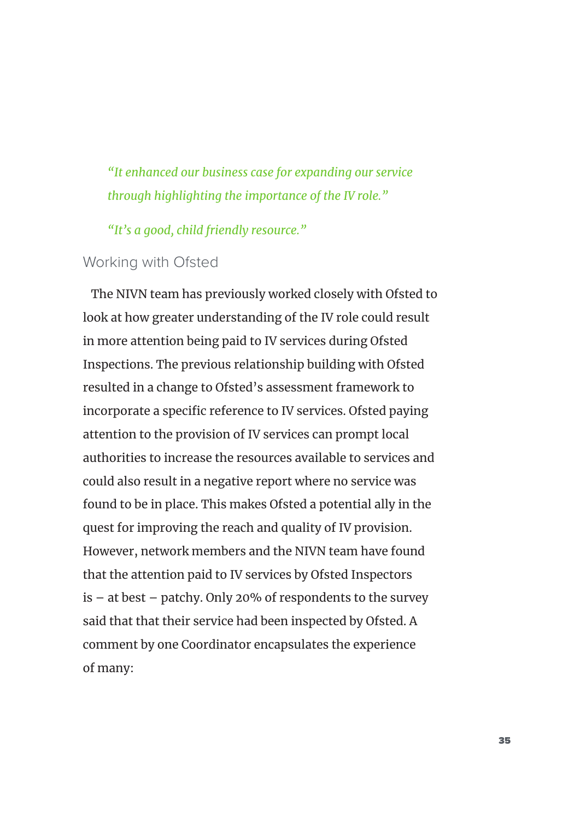*"It enhanced our business case for expanding our service through highlighting the importance of the IV role."* 

*"It's a good, child friendly resource."* 

#### Working with Ofsted

The NIVN team has previously worked closely with Ofsted to look at how greater understanding of the IV role could result in more attention being paid to IV services during Ofsted Inspections. The previous relationship building with Ofsted resulted in a change to Ofsted's assessment framework to incorporate a specific reference to IV services. Ofsted paying attention to the provision of IV services can prompt local authorities to increase the resources available to services and could also result in a negative report where no service was found to be in place. This makes Ofsted a potential ally in the quest for improving the reach and quality of IV provision. However, network members and the NIVN team have found that the attention paid to IV services by Ofsted Inspectors is – at best – patchy. Only 20% of respondents to the survey said that that their service had been inspected by Ofsted. A comment by one Coordinator encapsulates the experience of many: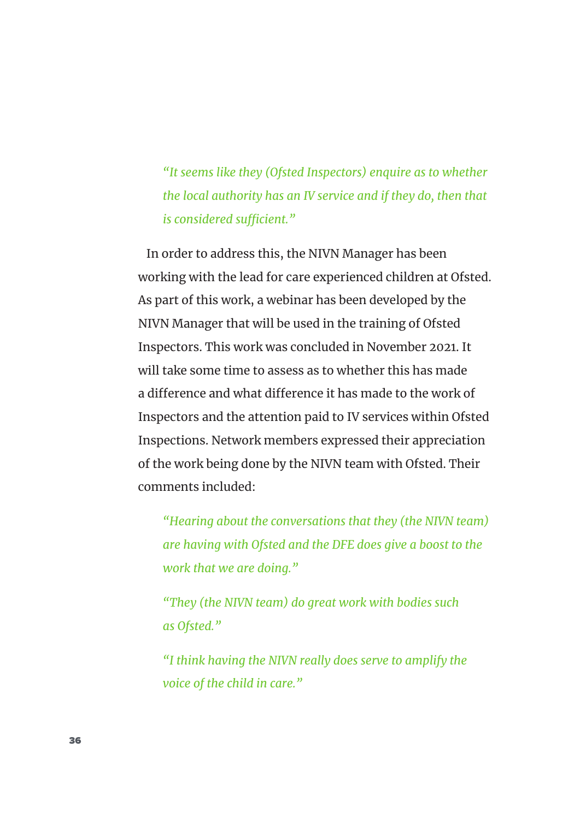*"It seems like they (Ofsted Inspectors) enquire as to whether the local authority has an IV service and if they do, then that is considered sufficient."* 

In order to address this, the NIVN Manager has been working with the lead for care experienced children at Ofsted. As part of this work, a webinar has been developed by the NIVN Manager that will be used in the training of Ofsted Inspectors. This work was concluded in November 2021. It will take some time to assess as to whether this has made a difference and what difference it has made to the work of Inspectors and the attention paid to IV services within Ofsted Inspections. Network members expressed their appreciation of the work being done by the NIVN team with Ofsted. Their comments included:

*"Hearing about the conversations that they (the NIVN team) are having with Ofsted and the DFE does give a boost to the work that we are doing."*

*"They (the NIVN team) do great work with bodies such as Ofsted."* 

*"I think having the NIVN really does serve to amplify the voice of the child in care."*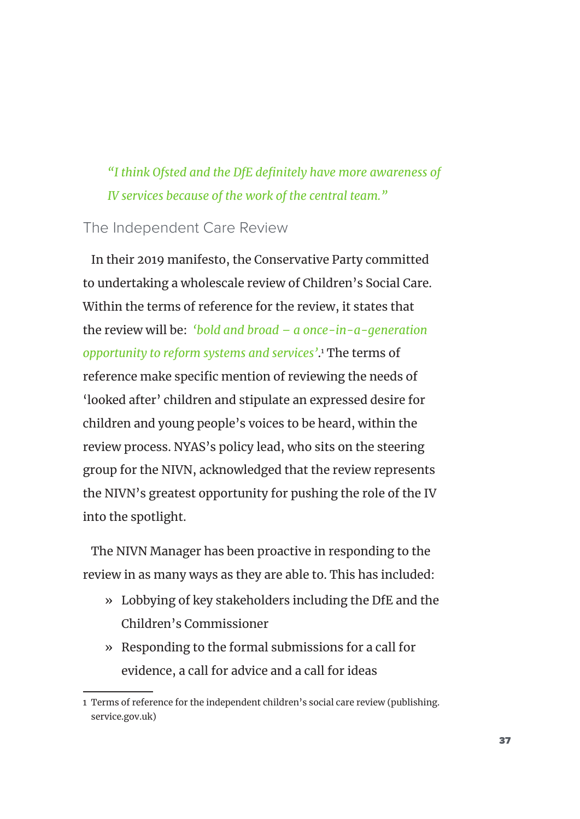## *"I think Ofsted and the DfE definitely have more awareness of IV services because of the work of the central team."*

### The Independent Care Review

In their 2019 manifesto, the Conservative Party committed to undertaking a wholescale review of Children's Social Care. Within the terms of reference for the review, it states that the review will be: *'bold and broad – a once-in-a-generation opportunity to reform systems and services'*. 1 The terms of reference make specific mention of reviewing the needs of 'looked after' children and stipulate an expressed desire for children and young people's voices to be heard, within the review process. NYAS's policy lead, who sits on the steering group for the NIVN, acknowledged that the review represents the NIVN's greatest opportunity for pushing the role of the IV into the spotlight.

The NIVN Manager has been proactive in responding to the review in as many ways as they are able to. This has included:

- » Lobbying of key stakeholders including the DfE and the Children's Commissioner
- » Responding to the formal submissions for a call for evidence, a call for advice and a call for ideas

<sup>1</sup> Terms of reference for the independent children's social care review (publishing. service.gov.uk)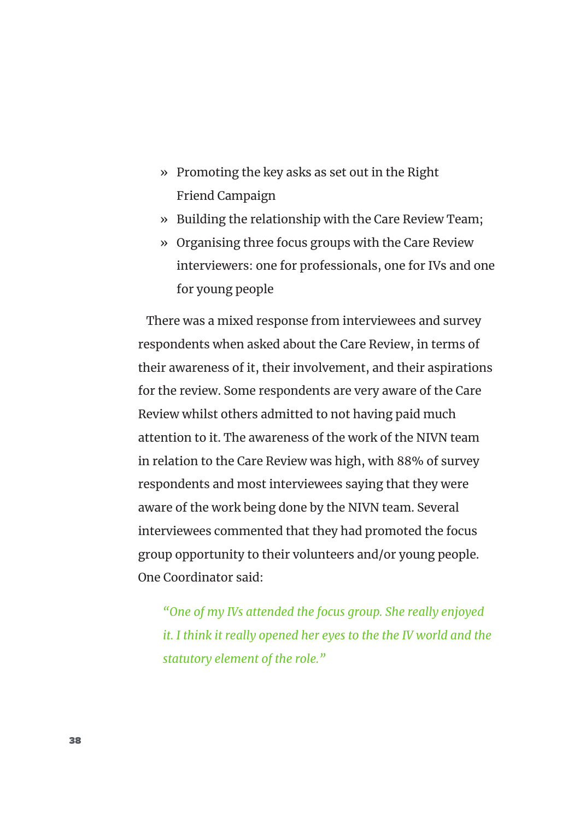- » Promoting the key asks as set out in the Right Friend Campaign
- » Building the relationship with the Care Review Team;
- » Organising three focus groups with the Care Review interviewers: one for professionals, one for IVs and one for young people

There was a mixed response from interviewees and survey respondents when asked about the Care Review, in terms of their awareness of it, their involvement, and their aspirations for the review. Some respondents are very aware of the Care Review whilst others admitted to not having paid much attention to it. The awareness of the work of the NIVN team in relation to the Care Review was high, with 88% of survey respondents and most interviewees saying that they were aware of the work being done by the NIVN team. Several interviewees commented that they had promoted the focus group opportunity to their volunteers and/or young people. One Coordinator said:

*"One of my IVs attended the focus group. She really enjoyed it. I think it really opened her eyes to the the IV world and the statutory element of the role."*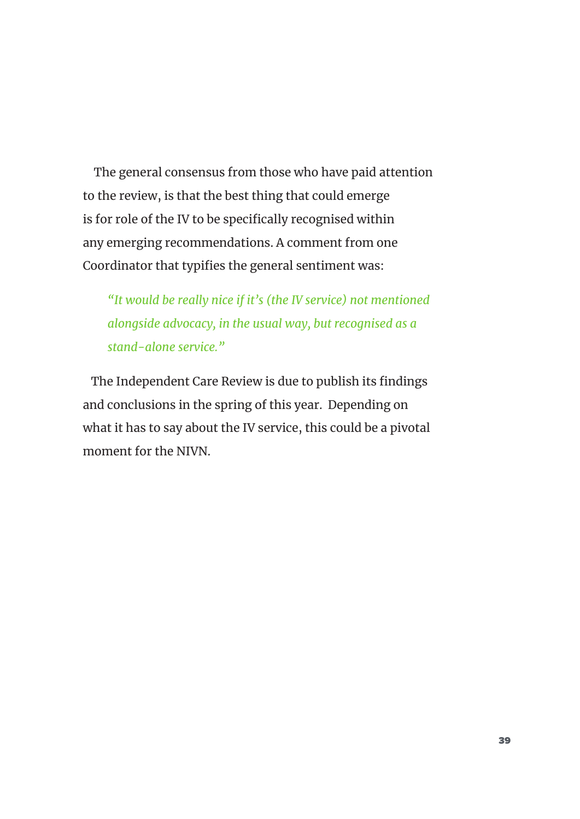The general consensus from those who have paid attention to the review, is that the best thing that could emerge is for role of the IV to be specifically recognised within any emerging recommendations. A comment from one Coordinator that typifies the general sentiment was:

*"It would be really nice if it's (the IV service) not mentioned alongside advocacy, in the usual way, but recognised as a stand-alone service."*

The Independent Care Review is due to publish its findings and conclusions in the spring of this year. Depending on what it has to say about the IV service, this could be a pivotal moment for the NIVN.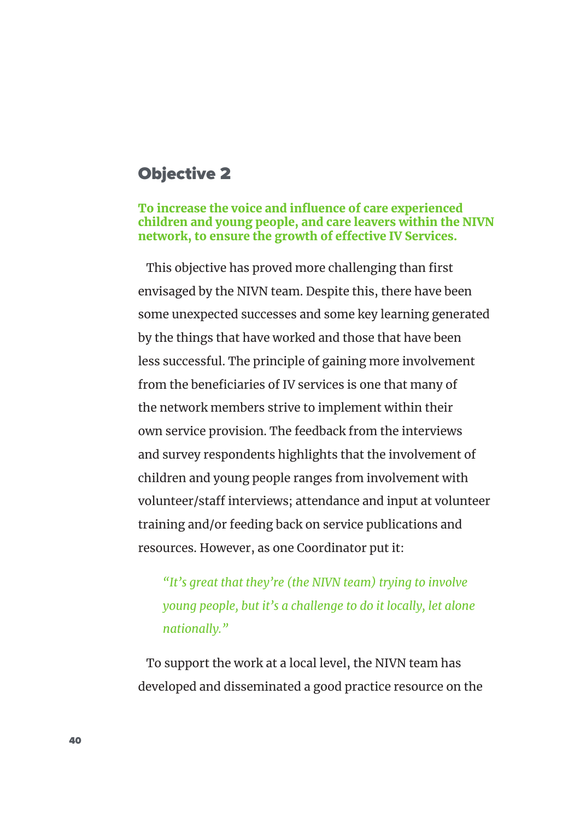## Objective 2

#### To increase the voice and influence of care experienced children and young people, and care leavers within the NIVN network, to ensure the growth of effective IV Services.

This objective has proved more challenging than first envisaged by the NIVN team. Despite this, there have been some unexpected successes and some key learning generated by the things that have worked and those that have been less successful. The principle of gaining more involvement from the beneficiaries of IV services is one that many of the network members strive to implement within their own service provision. The feedback from the interviews and survey respondents highlights that the involvement of children and young people ranges from involvement with volunteer/staff interviews; attendance and input at volunteer training and/or feeding back on service publications and resources. However, as one Coordinator put it:

*"It's great that they're (the NIVN team) trying to involve young people, but it's a challenge to do it locally, let alone nationally."* 

To support the work at a local level, the NIVN team has developed and disseminated a good practice resource on the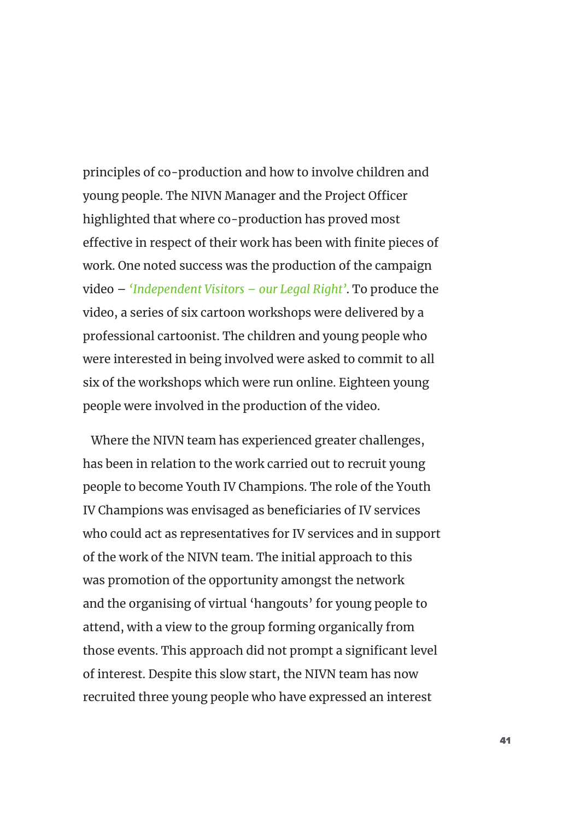principles of co-production and how to involve children and young people. The NIVN Manager and the Project Officer highlighted that where co-production has proved most effective in respect of their work has been with finite pieces of work. One noted success was the production of the campaign video – *'Independent Visitors – our Legal Right'*. To produce the video, a series of six cartoon workshops were delivered by a professional cartoonist. The children and young people who were interested in being involved were asked to commit to all six of the workshops which were run online. Eighteen young people were involved in the production of the video.

Where the NIVN team has experienced greater challenges, has been in relation to the work carried out to recruit young people to become Youth IV Champions. The role of the Youth IV Champions was envisaged as beneficiaries of IV services who could act as representatives for IV services and in support of the work of the NIVN team. The initial approach to this was promotion of the opportunity amongst the network and the organising of virtual 'hangouts' for young people to attend, with a view to the group forming organically from those events. This approach did not prompt a significant level of interest. Despite this slow start, the NIVN team has now recruited three young people who have expressed an interest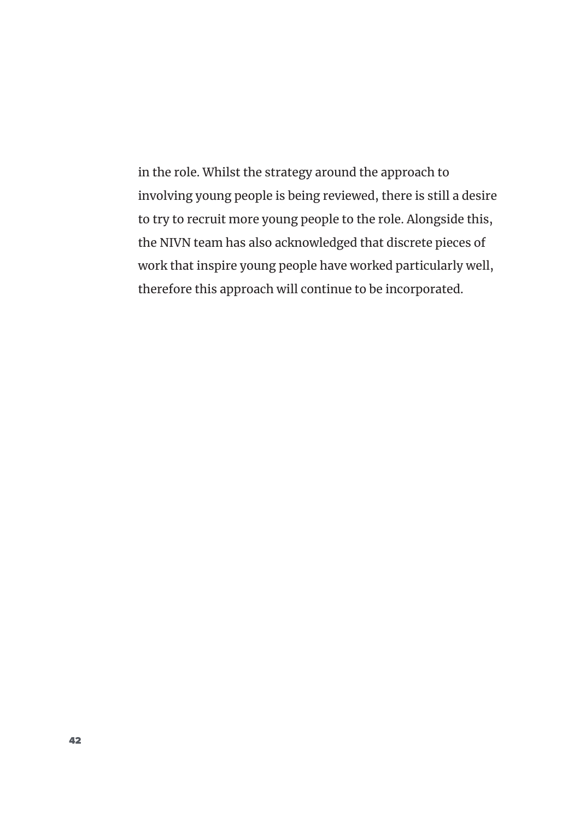in the role. Whilst the strategy around the approach to involving young people is being reviewed, there is still a desire to try to recruit more young people to the role. Alongside this, the NIVN team has also acknowledged that discrete pieces of work that inspire young people have worked particularly well, therefore this approach will continue to be incorporated.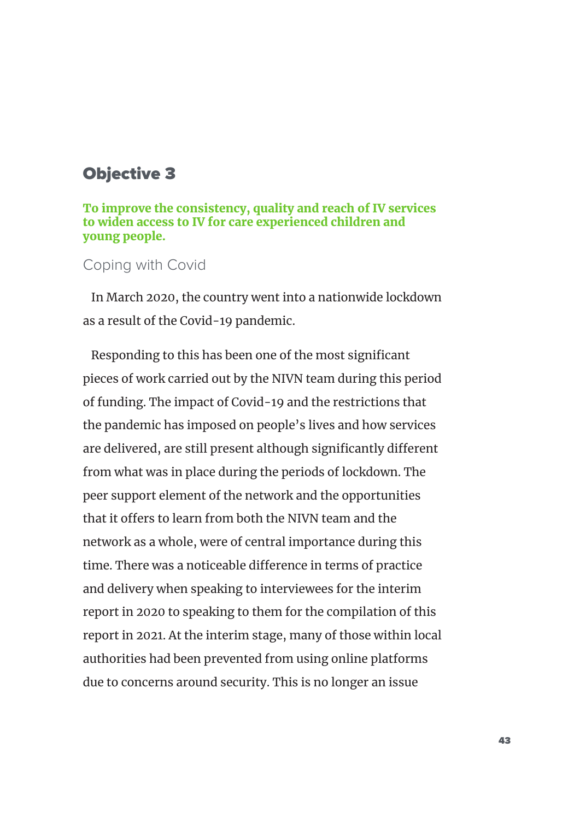## Objective 3

To improve the consistency, quality and reach of IV services to widen access to IV for care experienced children and young people.

### Coping with Covid

In March 2020, the country went into a nationwide lockdown as a result of the Covid-19 pandemic.

Responding to this has been one of the most significant pieces of work carried out by the NIVN team during this period of funding. The impact of Covid-19 and the restrictions that the pandemic has imposed on people's lives and how services are delivered, are still present although significantly different from what was in place during the periods of lockdown. The peer support element of the network and the opportunities that it offers to learn from both the NIVN team and the network as a whole, were of central importance during this time. There was a noticeable difference in terms of practice and delivery when speaking to interviewees for the interim report in 2020 to speaking to them for the compilation of this report in 2021. At the interim stage, many of those within local authorities had been prevented from using online platforms due to concerns around security. This is no longer an issue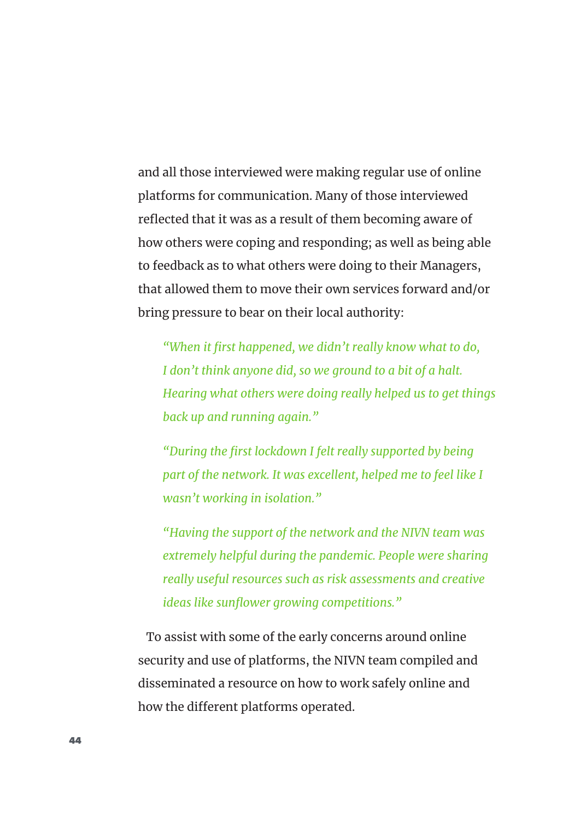and all those interviewed were making regular use of online platforms for communication. Many of those interviewed reflected that it was as a result of them becoming aware of how others were coping and responding; as well as being able to feedback as to what others were doing to their Managers, that allowed them to move their own services forward and/or bring pressure to bear on their local authority:

*"When it first happened, we didn't really know what to do, I don't think anyone did, so we ground to a bit of a halt. Hearing what others were doing really helped us to get things back up and running again."* 

*"During the first lockdown I felt really supported by being*  part of the network. It was excellent, helped me to feel like I *wasn't working in isolation."* 

*"Having the support of the network and the NIVN team was extremely helpful during the pandemic. People were sharing really useful resources such as risk assessments and creative ideas like sunflower growing competitions."*

To assist with some of the early concerns around online security and use of platforms, the NIVN team compiled and disseminated a resource on how to work safely online and how the different platforms operated.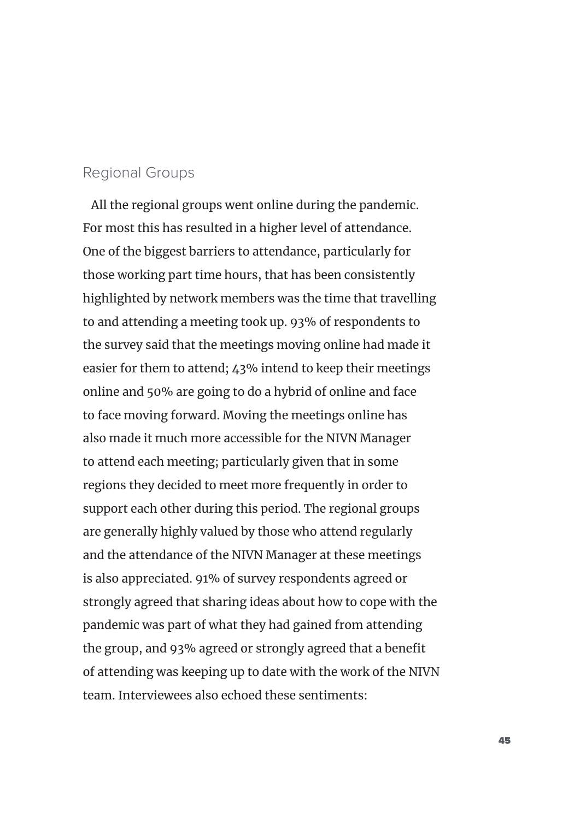#### Regional Groups

All the regional groups went online during the pandemic. For most this has resulted in a higher level of attendance. One of the biggest barriers to attendance, particularly for those working part time hours, that has been consistently highlighted by network members was the time that travelling to and attending a meeting took up. 93% of respondents to the survey said that the meetings moving online had made it easier for them to attend; 43% intend to keep their meetings online and 50% are going to do a hybrid of online and face to face moving forward. Moving the meetings online has also made it much more accessible for the NIVN Manager to attend each meeting; particularly given that in some regions they decided to meet more frequently in order to support each other during this period. The regional groups are generally highly valued by those who attend regularly and the attendance of the NIVN Manager at these meetings is also appreciated. 91% of survey respondents agreed or strongly agreed that sharing ideas about how to cope with the pandemic was part of what they had gained from attending the group, and 93% agreed or strongly agreed that a benefit of attending was keeping up to date with the work of the NIVN team. Interviewees also echoed these sentiments: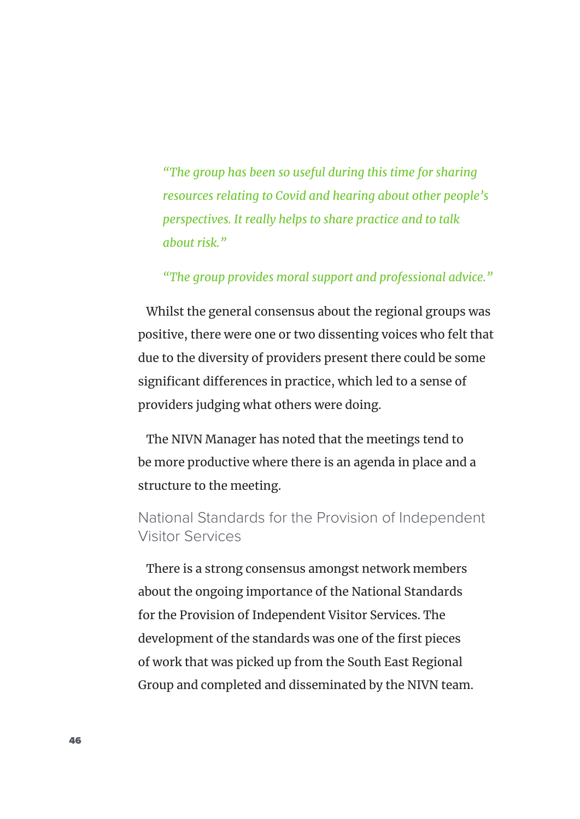*"The group has been so useful during this time for sharing resources relating to Covid and hearing about other people's perspectives. It really helps to share practice and to talk about risk."* 

### *"The group provides moral support and professional advice."*

Whilst the general consensus about the regional groups was positive, there were one or two dissenting voices who felt that due to the diversity of providers present there could be some significant differences in practice, which led to a sense of providers judging what others were doing.

The NIVN Manager has noted that the meetings tend to be more productive where there is an agenda in place and a structure to the meeting.

### National Standards for the Provision of Independent Visitor Services

There is a strong consensus amongst network members about the ongoing importance of the National Standards for the Provision of Independent Visitor Services. The development of the standards was one of the first pieces of work that was picked up from the South East Regional Group and completed and disseminated by the NIVN team.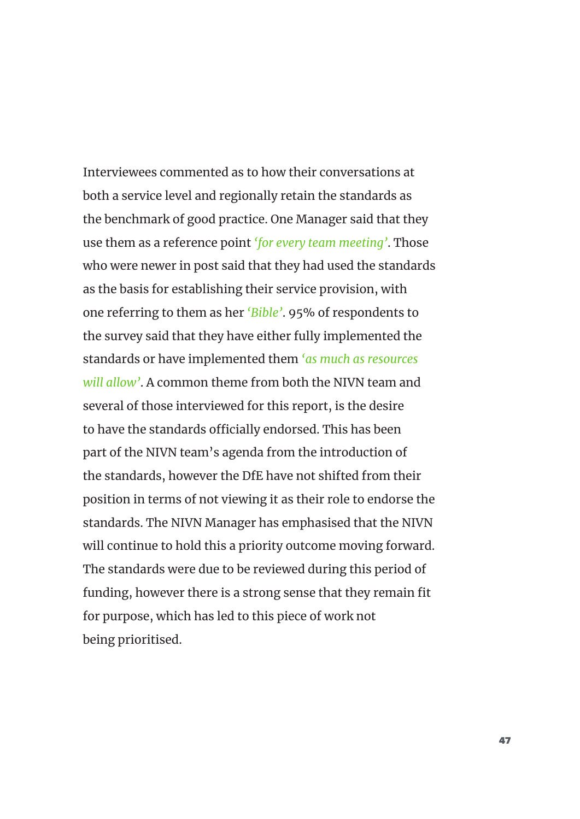Interviewees commented as to how their conversations at both a service level and regionally retain the standards as the benchmark of good practice. One Manager said that they use them as a reference point *'for every team meeting'*. Those who were newer in post said that they had used the standards as the basis for establishing their service provision, with one referring to them as her *'Bible'*. 95% of respondents to the survey said that they have either fully implemented the standards or have implemented them *'as much as resources will allow'*. A common theme from both the NIVN team and several of those interviewed for this report, is the desire to have the standards officially endorsed. This has been part of the NIVN team's agenda from the introduction of the standards, however the DfE have not shifted from their position in terms of not viewing it as their role to endorse the standards. The NIVN Manager has emphasised that the NIVN will continue to hold this a priority outcome moving forward. The standards were due to be reviewed during this period of funding, however there is a strong sense that they remain fit for purpose, which has led to this piece of work not being prioritised.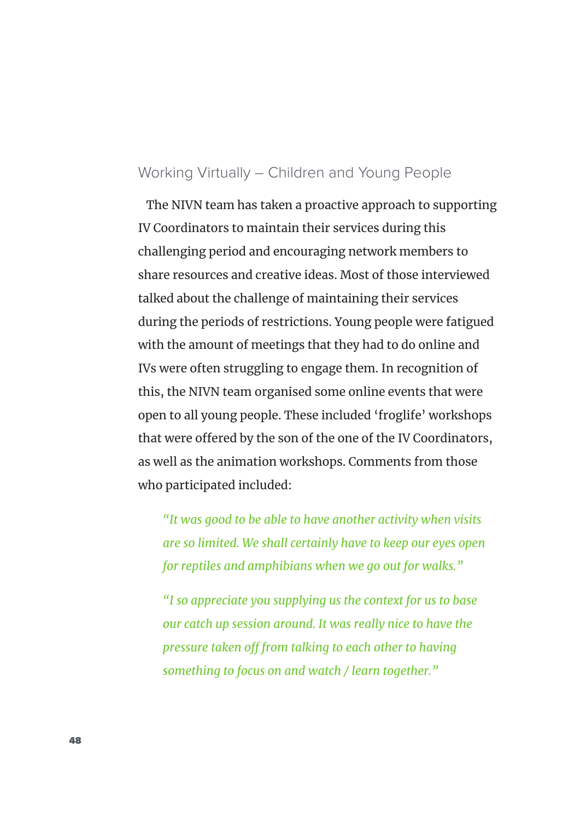### Working Virtually – Children and Young People

The NIVN team has taken a proactive approach to supporting IV Coordinators to maintain their services during this challenging period and encouraging network members to share resources and creative ideas. Most of those interviewed talked about the challenge of maintaining their services during the periods of restrictions. Young people were fatigued with the amount of meetings that they had to do online and IVs were often struggling to engage them. In recognition of this, the NIVN team organised some online events that were open to all young people. These included 'froglife' workshops that were offered by the son of the one of the IV Coordinators, as well as the animation workshops. Comments from those who participated included:

*"It was good to be able to have another activity when visits are so limited. We shall certainly have to keep our eyes open for reptiles and amphibians when we go out for walks."* 

*"I so appreciate you supplying us the context for us to base our catch up session around. It was really nice to have the pressure taken off from talking to each other to having something to focus on and watch / learn together."*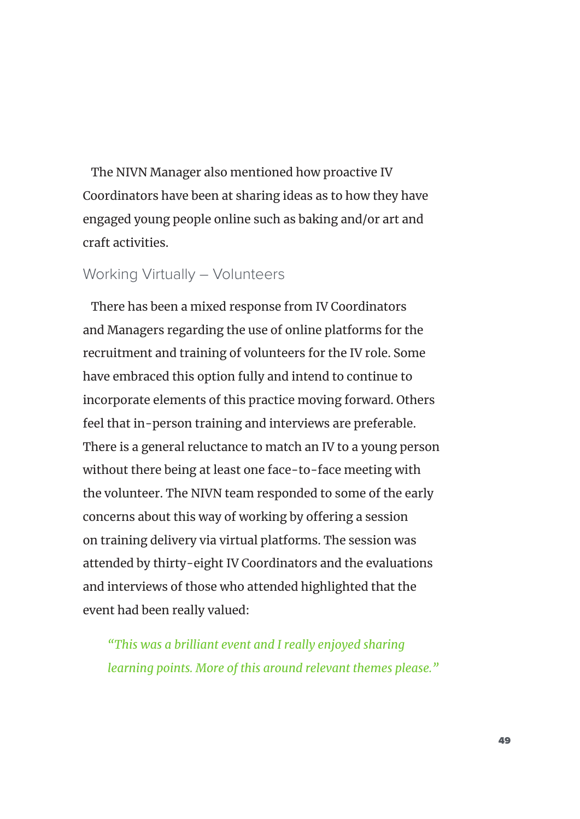The NIVN Manager also mentioned how proactive IV Coordinators have been at sharing ideas as to how they have engaged young people online such as baking and/or art and craft activities.

### Working Virtually – Volunteers

There has been a mixed response from IV Coordinators and Managers regarding the use of online platforms for the recruitment and training of volunteers for the IV role. Some have embraced this option fully and intend to continue to incorporate elements of this practice moving forward. Others feel that in-person training and interviews are preferable. There is a general reluctance to match an IV to a young person without there being at least one face-to-face meeting with the volunteer. The NIVN team responded to some of the early concerns about this way of working by offering a session on training delivery via virtual platforms. The session was attended by thirty-eight IV Coordinators and the evaluations and interviews of those who attended highlighted that the event had been really valued:

*"This was a brilliant event and I really enjoyed sharing learning points. More of this around relevant themes please."*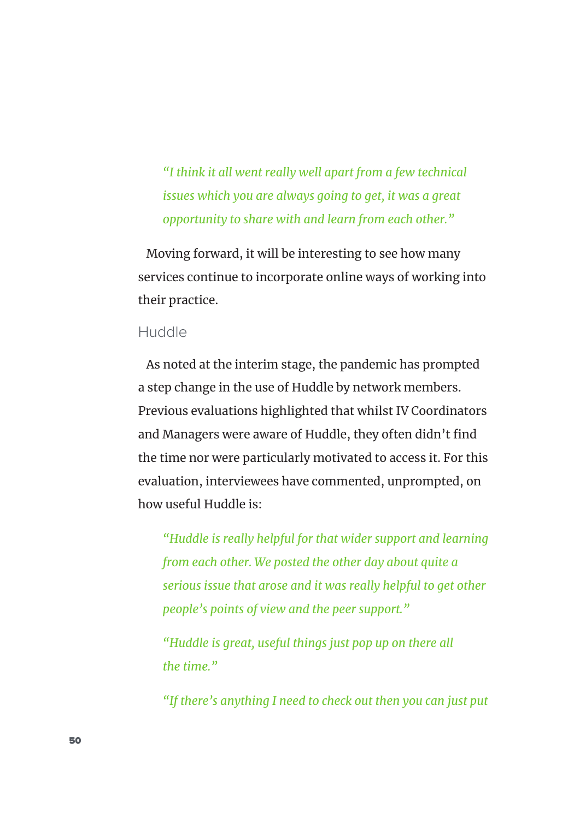*"I think it all went really well apart from a few technical issues which you are always going to get, it was a great opportunity to share with and learn from each other."*

Moving forward, it will be interesting to see how many services continue to incorporate online ways of working into their practice.

### Huddle

As noted at the interim stage, the pandemic has prompted a step change in the use of Huddle by network members. Previous evaluations highlighted that whilst IV Coordinators and Managers were aware of Huddle, they often didn't find the time nor were particularly motivated to access it. For this evaluation, interviewees have commented, unprompted, on how useful Huddle is:

*"Huddle is really helpful for that wider support and learning from each other. We posted the other day about quite a serious issue that arose and it was really helpful to get other people's points of view and the peer support."* 

*"Huddle is great, useful things just pop up on there all the time."* 

*"If there's anything I need to check out then you can just put*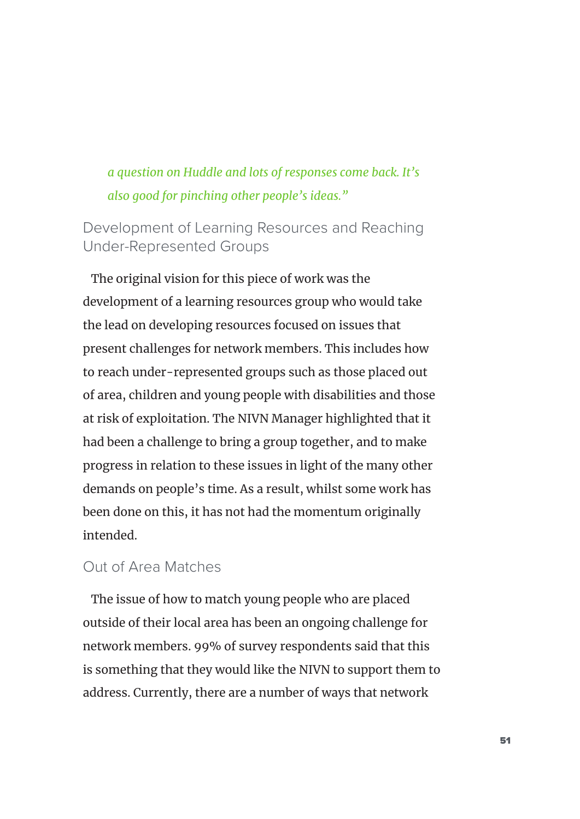## *a question on Huddle and lots of responses come back. It's also good for pinching other people's ideas."*

## Development of Learning Resources and Reaching Under-Represented Groups

The original vision for this piece of work was the development of a learning resources group who would take the lead on developing resources focused on issues that present challenges for network members. This includes how to reach under-represented groups such as those placed out of area, children and young people with disabilities and those at risk of exploitation. The NIVN Manager highlighted that it had been a challenge to bring a group together, and to make progress in relation to these issues in light of the many other demands on people's time. As a result, whilst some work has been done on this, it has not had the momentum originally intended.

### Out of Area Matches

The issue of how to match young people who are placed outside of their local area has been an ongoing challenge for network members. 99% of survey respondents said that this is something that they would like the NIVN to support them to address. Currently, there are a number of ways that network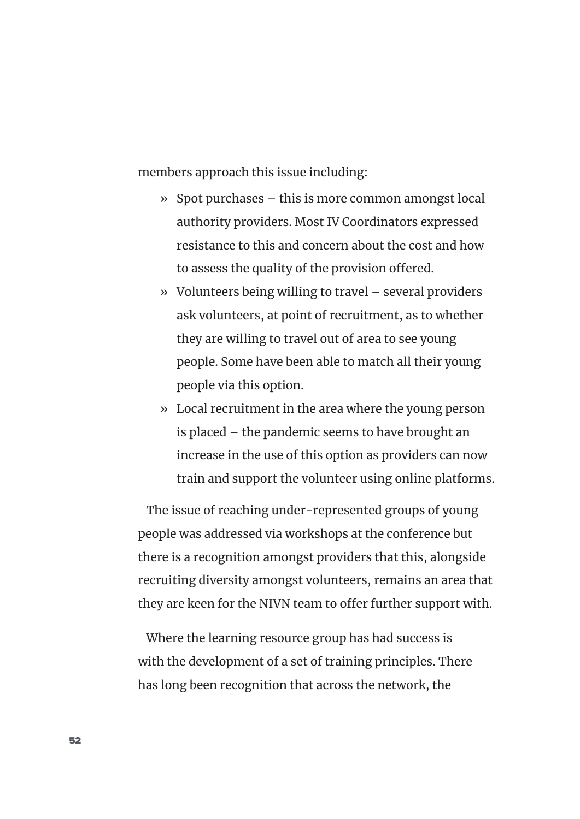members approach this issue including:

- » Spot purchases this is more common amongst local authority providers. Most IV Coordinators expressed resistance to this and concern about the cost and how to assess the quality of the provision offered.
- » Volunteers being willing to travel several providers ask volunteers, at point of recruitment, as to whether they are willing to travel out of area to see young people. Some have been able to match all their young people via this option.
- » Local recruitment in the area where the young person is placed – the pandemic seems to have brought an increase in the use of this option as providers can now train and support the volunteer using online platforms.

The issue of reaching under-represented groups of young people was addressed via workshops at the conference but there is a recognition amongst providers that this, alongside recruiting diversity amongst volunteers, remains an area that they are keen for the NIVN team to offer further support with.

Where the learning resource group has had success is with the development of a set of training principles. There has long been recognition that across the network, the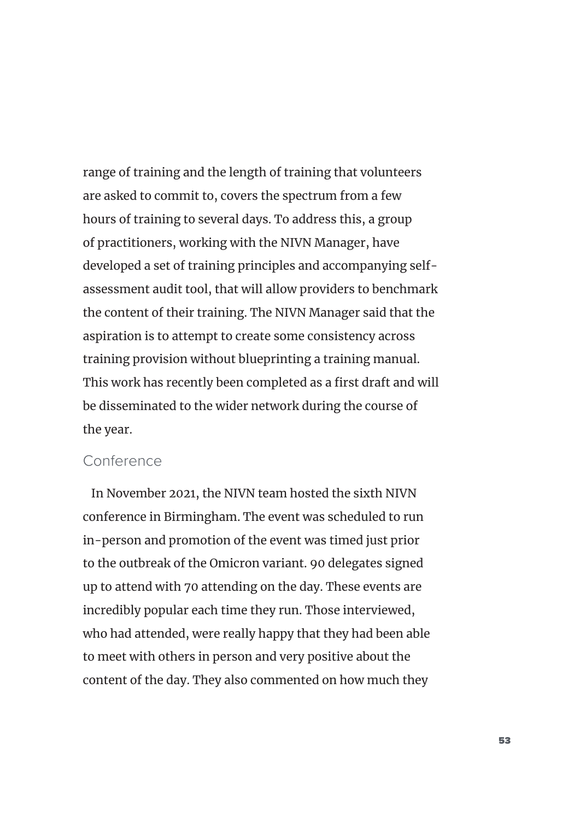range of training and the length of training that volunteers are asked to commit to, covers the spectrum from a few hours of training to several days. To address this, a group of practitioners, working with the NIVN Manager, have developed a set of training principles and accompanying selfassessment audit tool, that will allow providers to benchmark the content of their training. The NIVN Manager said that the aspiration is to attempt to create some consistency across training provision without blueprinting a training manual. This work has recently been completed as a first draft and will be disseminated to the wider network during the course of the year.

### Conference

In November 2021, the NIVN team hosted the sixth NIVN conference in Birmingham. The event was scheduled to run in-person and promotion of the event was timed just prior to the outbreak of the Omicron variant. 90 delegates signed up to attend with 70 attending on the day. These events are incredibly popular each time they run. Those interviewed, who had attended, were really happy that they had been able to meet with others in person and very positive about the content of the day. They also commented on how much they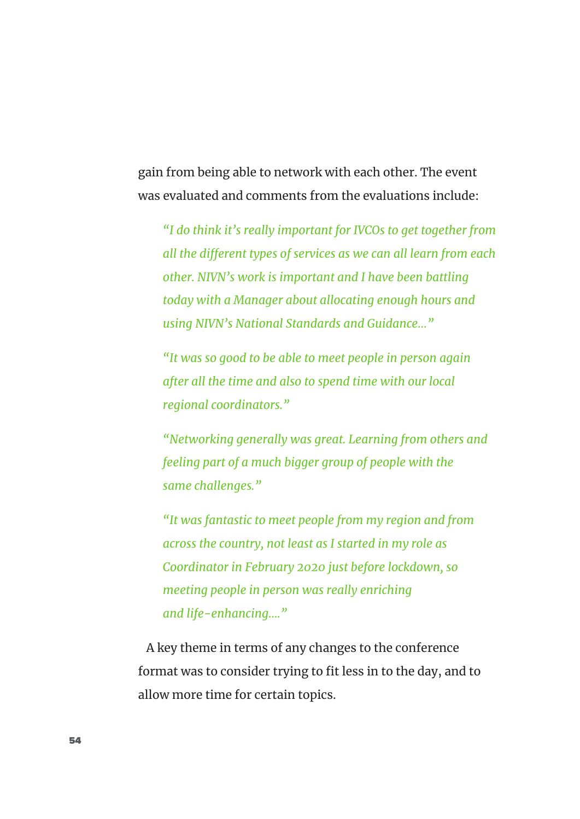gain from being able to network with each other. The event was evaluated and comments from the evaluations include:

*"I do think it's really important for IVCOs to get together from all the different types of services as we can all learn from each other. NIVN's work is important and I have been battling today with a Manager about allocating enough hours and using NIVN's National Standards and Guidance…"* 

*"It was so good to be able to meet people in person again after all the time and also to spend time with our local regional coordinators."* 

*"Networking generally was great. Learning from others and feeling part of a much bigger group of people with the same challenges."* 

*"It was fantastic to meet people from my region and from across the country, not least as I started in my role as Coordinator in February 2020 just before lockdown, so meeting people in person was really enriching and life-enhancing…."* 

A key theme in terms of any changes to the conference format was to consider trying to fit less in to the day, and to allow more time for certain topics.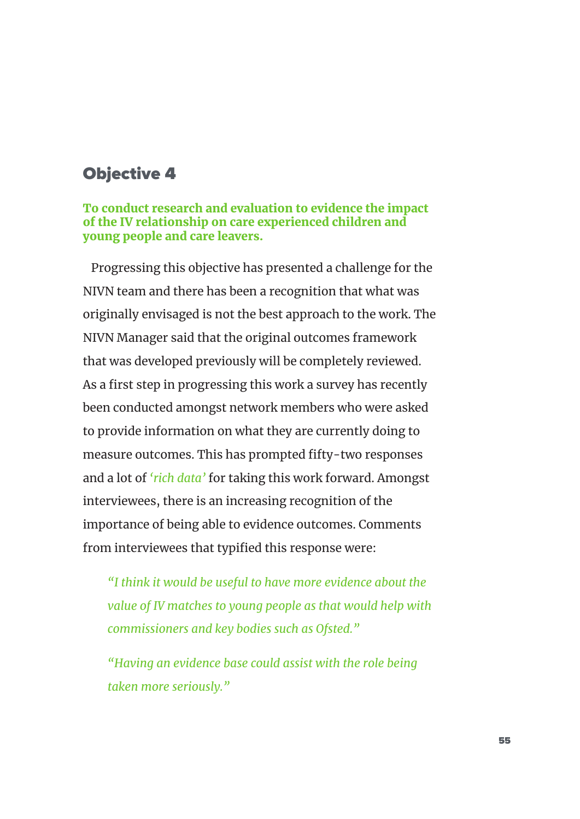## Objective 4

To conduct research and evaluation to evidence the impact of the IV relationship on care experienced children and young people and care leavers.

Progressing this objective has presented a challenge for the NIVN team and there has been a recognition that what was originally envisaged is not the best approach to the work. The NIVN Manager said that the original outcomes framework that was developed previously will be completely reviewed. As a first step in progressing this work a survey has recently been conducted amongst network members who were asked to provide information on what they are currently doing to measure outcomes. This has prompted fifty-two responses and a lot of *'rich data'* for taking this work forward. Amongst interviewees, there is an increasing recognition of the importance of being able to evidence outcomes. Comments from interviewees that typified this response were:

*"I think it would be useful to have more evidence about the value of IV matches to young people as that would help with commissioners and key bodies such as Ofsted."* 

*"Having an evidence base could assist with the role being taken more seriously."*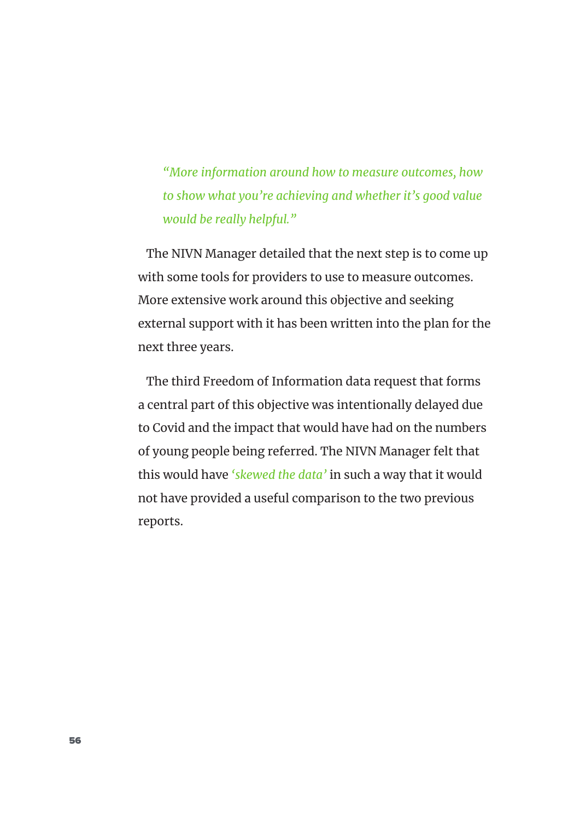*"More information around how to measure outcomes, how to show what you're achieving and whether it's good value would be really helpful."* 

The NIVN Manager detailed that the next step is to come up with some tools for providers to use to measure outcomes. More extensive work around this objective and seeking external support with it has been written into the plan for the next three years.

The third Freedom of Information data request that forms a central part of this objective was intentionally delayed due to Covid and the impact that would have had on the numbers of young people being referred. The NIVN Manager felt that this would have *'skewed the data'* in such a way that it would not have provided a useful comparison to the two previous reports.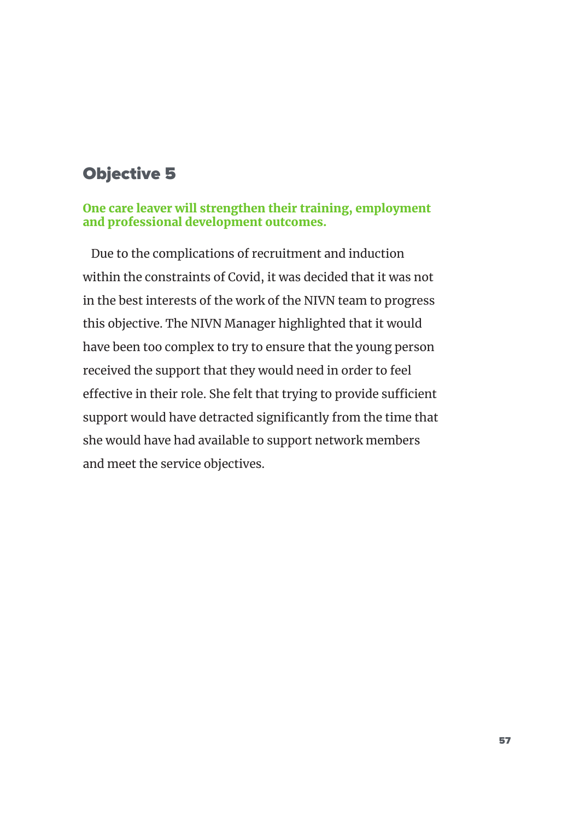# Objective 5

### One care leaver will strengthen their training, employment and professional development outcomes.

Due to the complications of recruitment and induction within the constraints of Covid, it was decided that it was not in the best interests of the work of the NIVN team to progress this objective. The NIVN Manager highlighted that it would have been too complex to try to ensure that the young person received the support that they would need in order to feel effective in their role. She felt that trying to provide sufficient support would have detracted significantly from the time that she would have had available to support network members and meet the service objectives.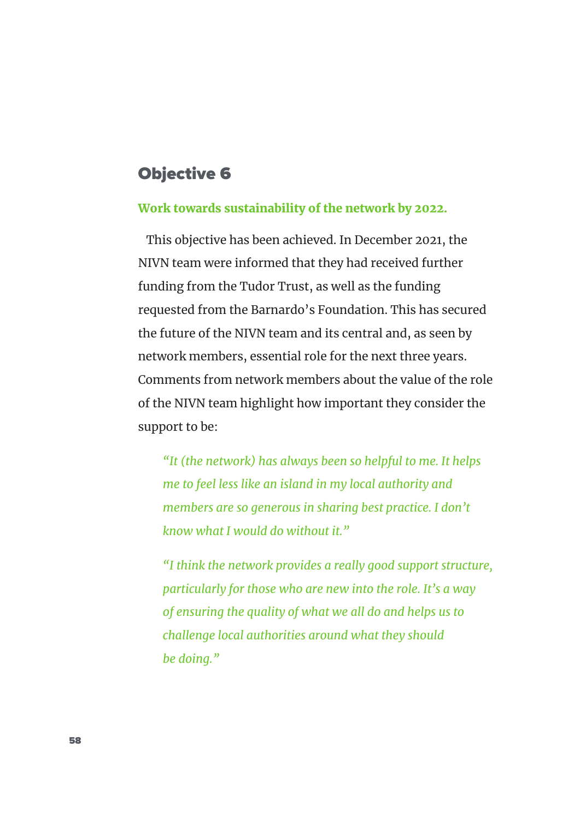## Objective 6

#### Work towards sustainability of the network by 2022.

This objective has been achieved. In December 2021, the NIVN team were informed that they had received further funding from the Tudor Trust, as well as the funding requested from the Barnardo's Foundation. This has secured the future of the NIVN team and its central and, as seen by network members, essential role for the next three years. Comments from network members about the value of the role of the NIVN team highlight how important they consider the support to be:

*"It (the network) has always been so helpful to me. It helps me to feel less like an island in my local authority and members are so generous in sharing best practice. I don't know what I would do without it."* 

*"I think the network provides a really good support structure, particularly for those who are new into the role. It's a way of ensuring the quality of what we all do and helps us to challenge local authorities around what they should be doing."*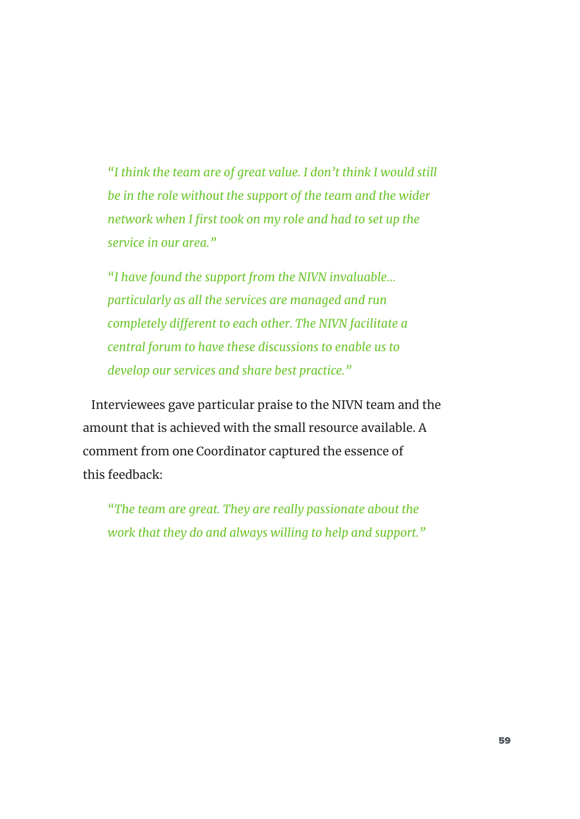*"I think the team are of great value. I don't think I would still be in the role without the support of the team and the wider network when I first took on my role and had to set up the service in our area."* 

*"I have found the support from the NIVN invaluable… particularly as all the services are managed and run completely different to each other. The NIVN facilitate a central forum to have these discussions to enable us to develop our services and share best practice."*

Interviewees gave particular praise to the NIVN team and the amount that is achieved with the small resource available. A comment from one Coordinator captured the essence of this feedback:

*"The team are great. They are really passionate about the work that they do and always willing to help and support."*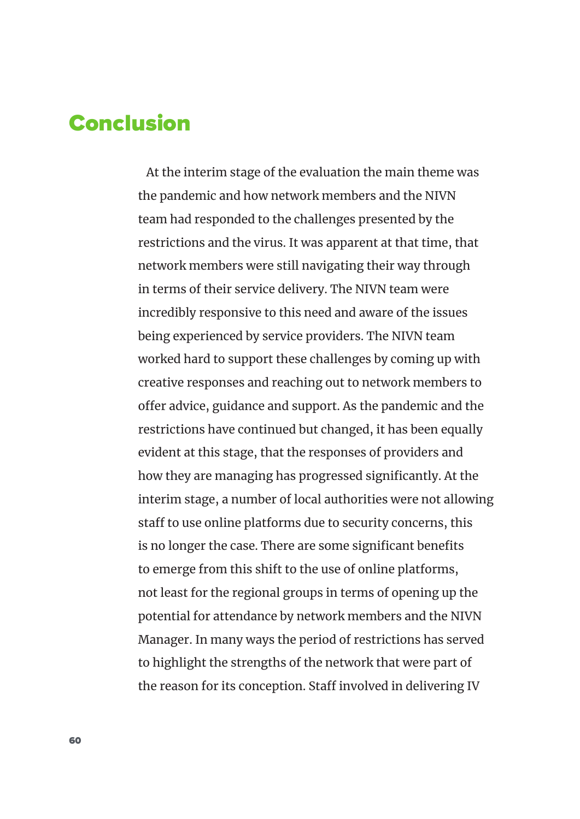# Conclusion

At the interim stage of the evaluation the main theme was the pandemic and how network members and the NIVN team had responded to the challenges presented by the restrictions and the virus. It was apparent at that time, that network members were still navigating their way through in terms of their service delivery. The NIVN team were incredibly responsive to this need and aware of the issues being experienced by service providers. The NIVN team worked hard to support these challenges by coming up with creative responses and reaching out to network members to offer advice, guidance and support. As the pandemic and the restrictions have continued but changed, it has been equally evident at this stage, that the responses of providers and how they are managing has progressed significantly. At the interim stage, a number of local authorities were not allowing staff to use online platforms due to security concerns, this is no longer the case. There are some significant benefits to emerge from this shift to the use of online platforms, not least for the regional groups in terms of opening up the potential for attendance by network members and the NIVN Manager. In many ways the period of restrictions has served to highlight the strengths of the network that were part of the reason for its conception. Staff involved in delivering IV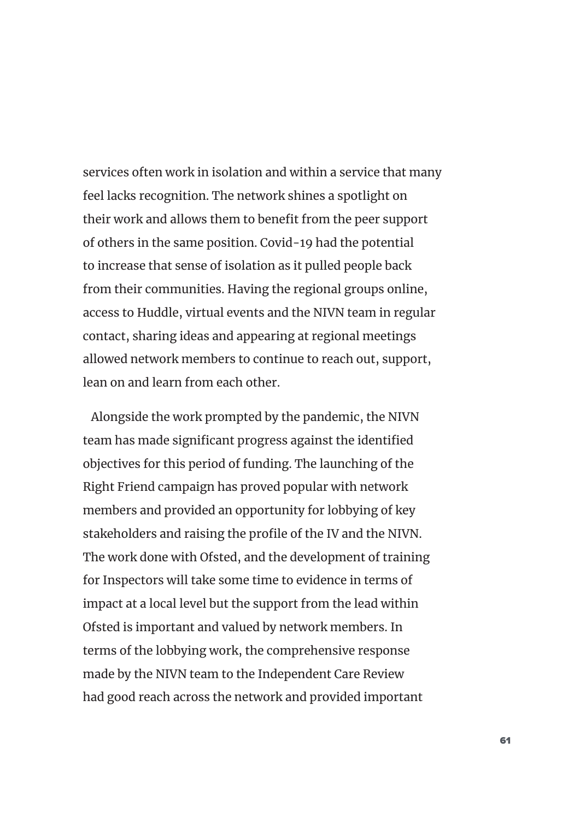services often work in isolation and within a service that many feel lacks recognition. The network shines a spotlight on their work and allows them to benefit from the peer support of others in the same position. Covid-19 had the potential to increase that sense of isolation as it pulled people back from their communities. Having the regional groups online, access to Huddle, virtual events and the NIVN team in regular contact, sharing ideas and appearing at regional meetings allowed network members to continue to reach out, support, lean on and learn from each other.

Alongside the work prompted by the pandemic, the NIVN team has made significant progress against the identified objectives for this period of funding. The launching of the Right Friend campaign has proved popular with network members and provided an opportunity for lobbying of key stakeholders and raising the profile of the IV and the NIVN. The work done with Ofsted, and the development of training for Inspectors will take some time to evidence in terms of impact at a local level but the support from the lead within Ofsted is important and valued by network members. In terms of the lobbying work, the comprehensive response made by the NIVN team to the Independent Care Review had good reach across the network and provided important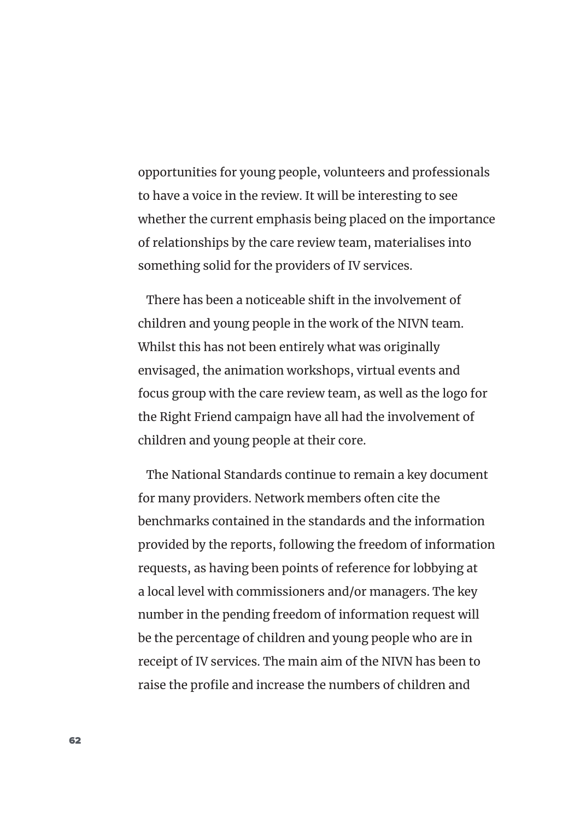opportunities for young people, volunteers and professionals to have a voice in the review. It will be interesting to see whether the current emphasis being placed on the importance of relationships by the care review team, materialises into something solid for the providers of IV services.

There has been a noticeable shift in the involvement of children and young people in the work of the NIVN team. Whilst this has not been entirely what was originally envisaged, the animation workshops, virtual events and focus group with the care review team, as well as the logo for the Right Friend campaign have all had the involvement of children and young people at their core.

The National Standards continue to remain a key document for many providers. Network members often cite the benchmarks contained in the standards and the information provided by the reports, following the freedom of information requests, as having been points of reference for lobbying at a local level with commissioners and/or managers. The key number in the pending freedom of information request will be the percentage of children and young people who are in receipt of IV services. The main aim of the NIVN has been to raise the profile and increase the numbers of children and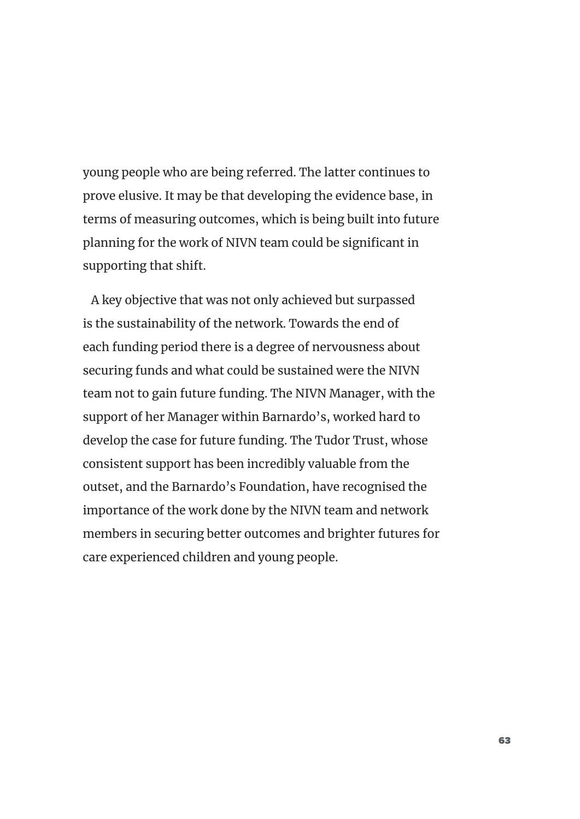young people who are being referred. The latter continues to prove elusive. It may be that developing the evidence base, in terms of measuring outcomes, which is being built into future planning for the work of NIVN team could be significant in supporting that shift.

A key objective that was not only achieved but surpassed is the sustainability of the network. Towards the end of each funding period there is a degree of nervousness about securing funds and what could be sustained were the NIVN team not to gain future funding. The NIVN Manager, with the support of her Manager within Barnardo's, worked hard to develop the case for future funding. The Tudor Trust, whose consistent support has been incredibly valuable from the outset, and the Barnardo's Foundation, have recognised the importance of the work done by the NIVN team and network members in securing better outcomes and brighter futures for care experienced children and young people.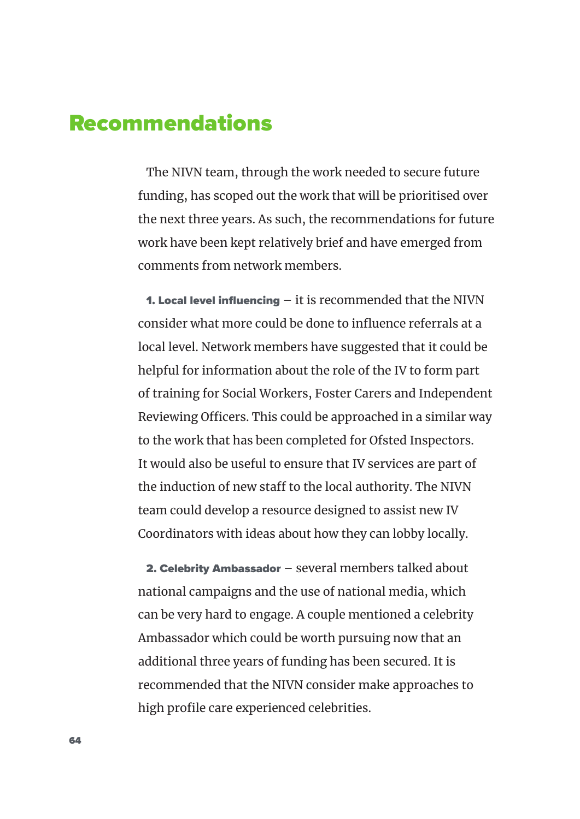# Recommendations

The NIVN team, through the work needed to secure future funding, has scoped out the work that will be prioritised over the next three years. As such, the recommendations for future work have been kept relatively brief and have emerged from comments from network members.

**1. Local level influencing – it is recommended that the NIVN** consider what more could be done to influence referrals at a local level. Network members have suggested that it could be helpful for information about the role of the IV to form part of training for Social Workers, Foster Carers and Independent Reviewing Officers. This could be approached in a similar way to the work that has been completed for Ofsted Inspectors. It would also be useful to ensure that IV services are part of the induction of new staff to the local authority. The NIVN team could develop a resource designed to assist new IV Coordinators with ideas about how they can lobby locally.

2. Celebrity Ambassador – several members talked about national campaigns and the use of national media, which can be very hard to engage. A couple mentioned a celebrity Ambassador which could be worth pursuing now that an additional three years of funding has been secured. It is recommended that the NIVN consider make approaches to high profile care experienced celebrities.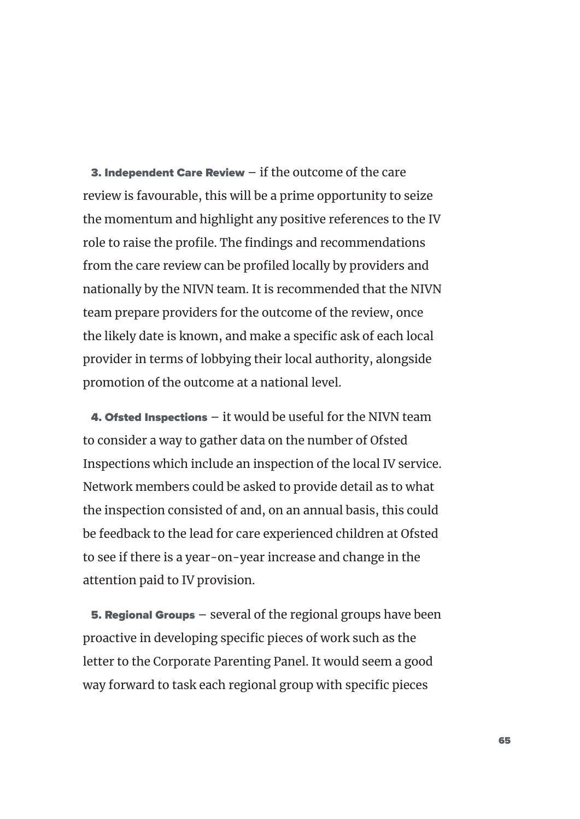**3. Independent Care Review**  $-$  **if the outcome of the care** review is favourable, this will be a prime opportunity to seize the momentum and highlight any positive references to the IV role to raise the profile. The findings and recommendations from the care review can be profiled locally by providers and nationally by the NIVN team. It is recommended that the NIVN team prepare providers for the outcome of the review, once the likely date is known, and make a specific ask of each local provider in terms of lobbying their local authority, alongside promotion of the outcome at a national level.

**4. Ofsted Inspections**  $-$  it would be useful for the NIVN team to consider a way to gather data on the number of Ofsted Inspections which include an inspection of the local IV service. Network members could be asked to provide detail as to what the inspection consisted of and, on an annual basis, this could be feedback to the lead for care experienced children at Ofsted to see if there is a year-on-year increase and change in the attention paid to IV provision.

**5. Regional Groups** – several of the regional groups have been proactive in developing specific pieces of work such as the letter to the Corporate Parenting Panel. It would seem a good way forward to task each regional group with specific pieces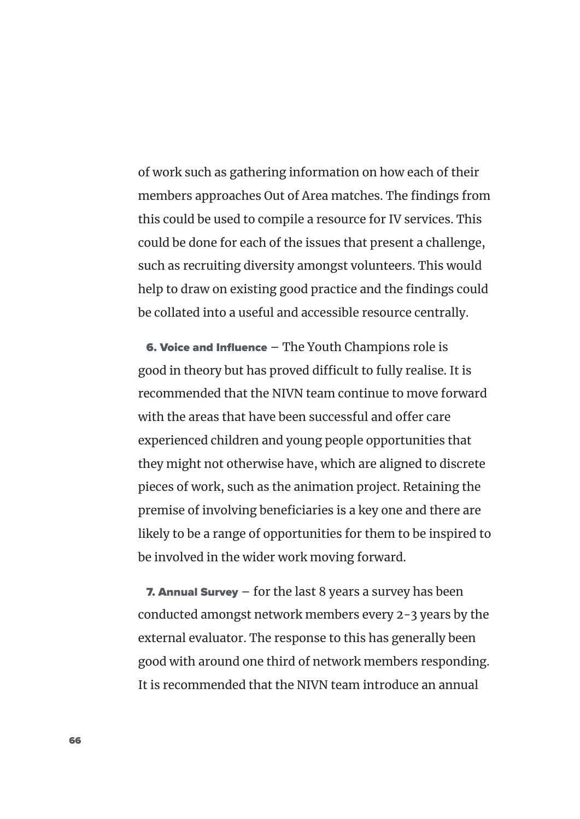of work such as gathering information on how each of their members approaches Out of Area matches. The findings from this could be used to compile a resource for IV services. This could be done for each of the issues that present a challenge, such as recruiting diversity amongst volunteers. This would help to draw on existing good practice and the findings could be collated into a useful and accessible resource centrally.

6. Voice and Influence – The Youth Champions role is good in theory but has proved difficult to fully realise. It is recommended that the NIVN team continue to move forward with the areas that have been successful and offer care experienced children and young people opportunities that they might not otherwise have, which are aligned to discrete pieces of work, such as the animation project. Retaining the premise of involving beneficiaries is a key one and there are likely to be a range of opportunities for them to be inspired to be involved in the wider work moving forward.

**7. Annual Survey**  $-$  for the last 8 years a survey has been conducted amongst network members every 2-3 years by the external evaluator. The response to this has generally been good with around one third of network members responding. It is recommended that the NIVN team introduce an annual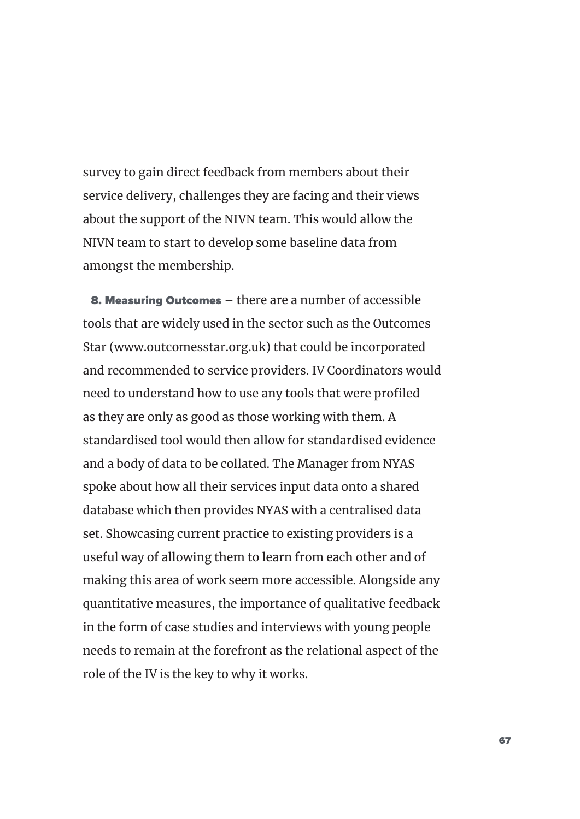survey to gain direct feedback from members about their service delivery, challenges they are facing and their views about the support of the NIVN team. This would allow the NIVN team to start to develop some baseline data from amongst the membership.

8. Measuring Outcomes – there are a number of accessible tools that are widely used in the sector such as the Outcomes Star (www.outcomesstar.org.uk) that could be incorporated and recommended to service providers. IV Coordinators would need to understand how to use any tools that were profiled as they are only as good as those working with them. A standardised tool would then allow for standardised evidence and a body of data to be collated. The Manager from NYAS spoke about how all their services input data onto a shared database which then provides NYAS with a centralised data set. Showcasing current practice to existing providers is a useful way of allowing them to learn from each other and of making this area of work seem more accessible. Alongside any quantitative measures, the importance of qualitative feedback in the form of case studies and interviews with young people needs to remain at the forefront as the relational aspect of the role of the IV is the key to why it works.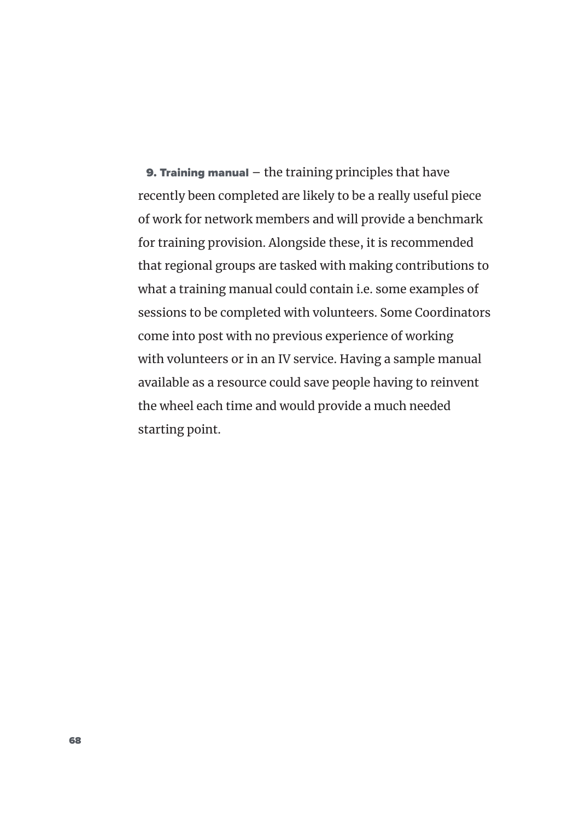**9. Training manual**  $-$  the training principles that have recently been completed are likely to be a really useful piece of work for network members and will provide a benchmark for training provision. Alongside these, it is recommended that regional groups are tasked with making contributions to what a training manual could contain i.e. some examples of sessions to be completed with volunteers. Some Coordinators come into post with no previous experience of working with volunteers or in an IV service. Having a sample manual available as a resource could save people having to reinvent the wheel each time and would provide a much needed starting point.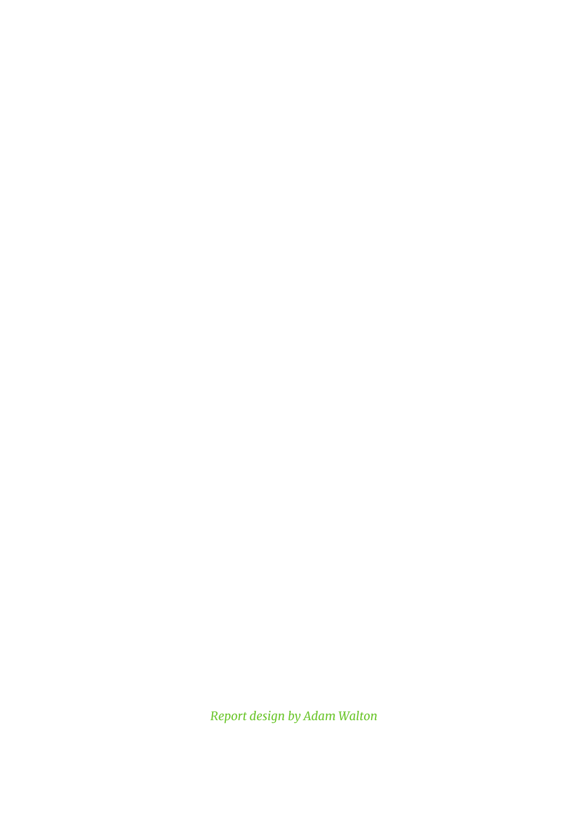*Report design by Adam Walton*